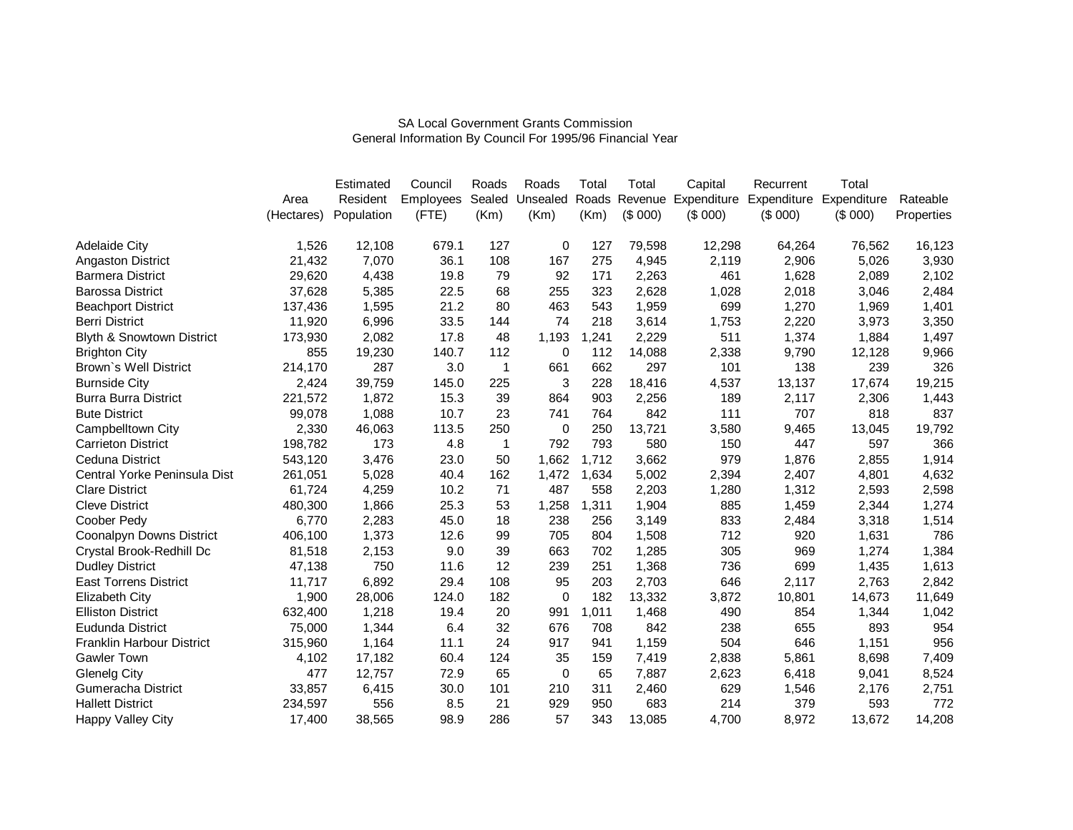|                                 |            | Estimated  | Council          | Roads  | Roads    | Total | Total         | Capital | Recurrent               | Total       |            |
|---------------------------------|------------|------------|------------------|--------|----------|-------|---------------|---------|-------------------------|-------------|------------|
|                                 | Area       | Resident   | <b>Employees</b> | Sealed | Unsealed |       | Roads Revenue |         | Expenditure Expenditure | Expenditure | Rateable   |
|                                 | (Hectares) | Population | (FTE)            | (Km)   | (Km)     | (Km)  | (\$000)       | (\$000) | (\$000)                 | (\$000)     | Properties |
| <b>Adelaide City</b>            | 1,526      | 12,108     | 679.1            | 127    | 0        | 127   | 79,598        | 12,298  | 64,264                  | 76,562      | 16,123     |
| <b>Angaston District</b>        | 21,432     | 7,070      | 36.1             | 108    | 167      | 275   | 4,945         | 2,119   | 2,906                   | 5,026       | 3,930      |
| <b>Barmera District</b>         | 29,620     | 4,438      | 19.8             | 79     | 92       | 171   | 2,263         | 461     | 1,628                   | 2,089       | 2,102      |
| <b>Barossa District</b>         | 37,628     | 5,385      | 22.5             | 68     | 255      | 323   | 2,628         | 1,028   | 2,018                   | 3,046       | 2,484      |
| <b>Beachport District</b>       | 137,436    | 1,595      | 21.2             | 80     | 463      | 543   | 1,959         | 699     | 1,270                   | 1,969       | 1,401      |
| <b>Berri District</b>           | 11,920     | 6,996      | 33.5             | 144    | 74       | 218   | 3,614         | 1,753   | 2,220                   | 3,973       | 3,350      |
| Blyth & Snowtown District       | 173,930    | 2,082      | 17.8             | 48     | 1,193    | ,241  | 2,229         | 511     | 1,374                   | 1,884       | 1,497      |
| <b>Brighton City</b>            | 855        | 19,230     | 140.7            | 112    | 0        | 112   | 14,088        | 2,338   | 9,790                   | 12,128      | 9,966      |
| Brown's Well District           | 214,170    | 287        | 3.0              | 1      | 661      | 662   | 297           | 101     | 138                     | 239         | 326        |
| <b>Burnside City</b>            | 2,424      | 39,759     | 145.0            | 225    | 3        | 228   | 18,416        | 4,537   | 13,137                  | 17,674      | 19,215     |
| <b>Burra Burra District</b>     | 221,572    | 1,872      | 15.3             | 39     | 864      | 903   | 2,256         | 189     | 2,117                   | 2,306       | 1,443      |
| <b>Bute District</b>            | 99,078     | 1,088      | 10.7             | 23     | 741      | 764   | 842           | 111     | 707                     | 818         | 837        |
| Campbelltown City               | 2,330      | 46,063     | 113.5            | 250    | 0        | 250   | 13,721        | 3,580   | 9,465                   | 13,045      | 19,792     |
| <b>Carrieton District</b>       | 198,782    | 173        | 4.8              | 1      | 792      | 793   | 580           | 150     | 447                     | 597         | 366        |
| Ceduna District                 | 543,120    | 3,476      | 23.0             | 50     | 1,662    | 1,712 | 3,662         | 979     | 1,876                   | 2,855       | 1,914      |
| Central Yorke Peninsula Dist    | 261,051    | 5,028      | 40.4             | 162    | 1,472    | 1,634 | 5,002         | 2,394   | 2,407                   | 4,801       | 4,632      |
| <b>Clare District</b>           | 61,724     | 4,259      | 10.2             | 71     | 487      | 558   | 2,203         | 1,280   | 1,312                   | 2,593       | 2,598      |
| <b>Cleve District</b>           | 480,300    | 1,866      | 25.3             | 53     | 1,258    | 1,311 | 1,904         | 885     | 1,459                   | 2,344       | 1,274      |
| Coober Pedy                     | 6,770      | 2,283      | 45.0             | 18     | 238      | 256   | 3,149         | 833     | 2,484                   | 3,318       | 1,514      |
| <b>Coonalpyn Downs District</b> | 406,100    | 1,373      | 12.6             | 99     | 705      | 804   | 1,508         | 712     | 920                     | 1,631       | 786        |
| Crystal Brook-Redhill Dc        | 81,518     | 2,153      | 9.0              | 39     | 663      | 702   | 1,285         | 305     | 969                     | 1,274       | 1,384      |
| <b>Dudley District</b>          | 47,138     | 750        | 11.6             | 12     | 239      | 251   | 1,368         | 736     | 699                     | 1,435       | 1,613      |
| <b>East Torrens District</b>    | 11,717     | 6,892      | 29.4             | 108    | 95       | 203   | 2,703         | 646     | 2,117                   | 2,763       | 2,842      |
| Elizabeth City                  | 1,900      | 28,006     | 124.0            | 182    | 0        | 182   | 13,332        | 3,872   | 10,801                  | 14,673      | 11,649     |
| <b>Elliston District</b>        | 632,400    | 1,218      | 19.4             | 20     | 991      | 1,011 | 1,468         | 490     | 854                     | 1,344       | 1,042      |
| Eudunda District                | 75,000     | 1,344      | 6.4              | 32     | 676      | 708   | 842           | 238     | 655                     | 893         | 954        |
| Franklin Harbour District       | 315,960    | 1,164      | 11.1             | 24     | 917      | 941   | 1,159         | 504     | 646                     | 1,151       | 956        |
| <b>Gawler Town</b>              | 4,102      | 17,182     | 60.4             | 124    | 35       | 159   | 7,419         | 2,838   | 5,861                   | 8,698       | 7,409      |
| <b>Glenelg City</b>             | 477        | 12,757     | 72.9             | 65     | $\Omega$ | 65    | 7,887         | 2,623   | 6,418                   | 9,041       | 8,524      |
| Gumeracha District              | 33,857     | 6,415      | 30.0             | 101    | 210      | 311   | 2,460         | 629     | 1,546                   | 2,176       | 2,751      |
| <b>Hallett District</b>         | 234,597    | 556        | 8.5              | 21     | 929      | 950   | 683           | 214     | 379                     | 593         | 772        |
| Happy Valley City               | 17,400     | 38,565     | 98.9             | 286    | 57       | 343   | 13,085        | 4,700   | 8,972                   | 13,672      | 14,208     |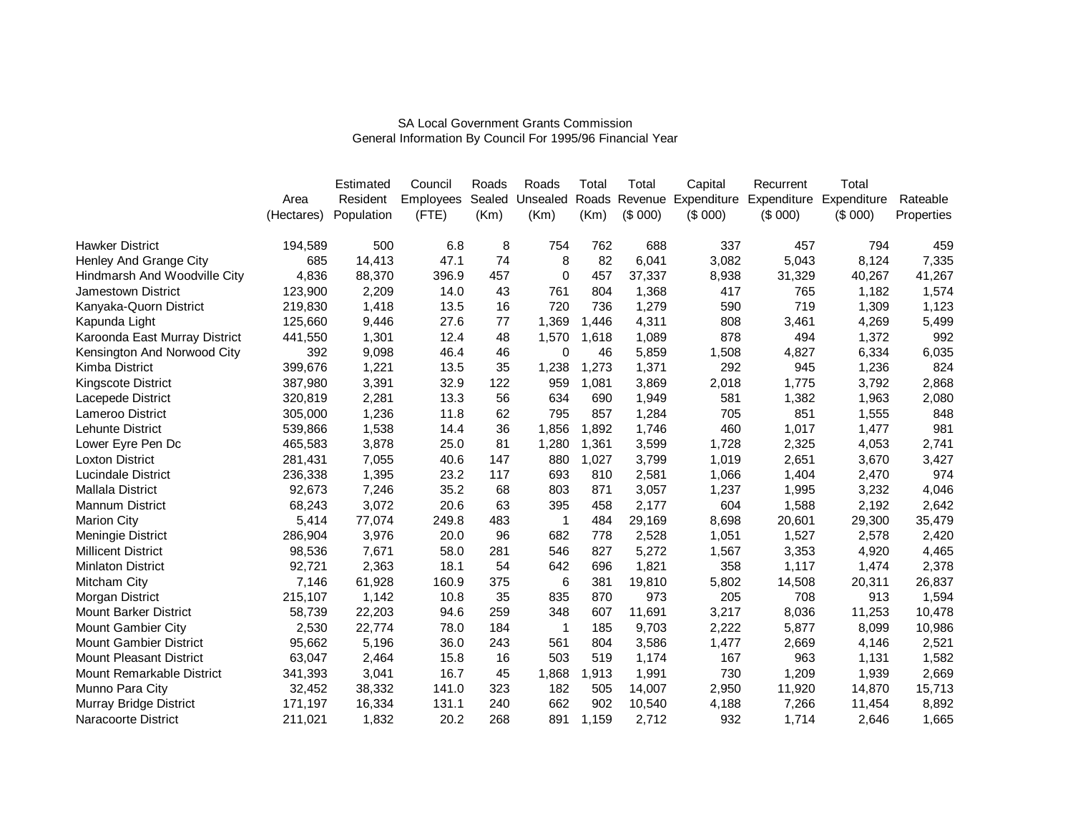|                                |            | Estimated  | Council          | Roads  | Roads        | Total | Total   | Capital | Recurrent                       | Total       |            |
|--------------------------------|------------|------------|------------------|--------|--------------|-------|---------|---------|---------------------------------|-------------|------------|
|                                | Area       | Resident   | <b>Employees</b> | Sealed | Unsealed     | Roads |         |         | Revenue Expenditure Expenditure | Expenditure | Rateable   |
|                                | (Hectares) | Population | (FTE)            | (Km)   | (Km)         | (Km)  | (\$000) | (\$000) | (\$000)                         | (\$000)     | Properties |
| <b>Hawker District</b>         | 194,589    | 500        | 6.8              | 8      | 754          | 762   | 688     | 337     | 457                             | 794         | 459        |
| Henley And Grange City         | 685        | 14,413     | 47.1             | 74     | 8            | 82    | 6,041   | 3,082   | 5,043                           | 8,124       | 7,335      |
| Hindmarsh And Woodville City   | 4,836      | 88,370     | 396.9            | 457    | $\Omega$     | 457   | 37,337  | 8,938   | 31,329                          | 40,267      | 41,267     |
| <b>Jamestown District</b>      | 123,900    | 2,209      | 14.0             | 43     | 761          | 804   | 1,368   | 417     | 765                             | 1,182       | 1,574      |
| Kanyaka-Quorn District         | 219,830    | 1,418      | 13.5             | 16     | 720          | 736   | 1,279   | 590     | 719                             | 1,309       | 1,123      |
| Kapunda Light                  | 125,660    | 9,446      | 27.6             | 77     | 1,369        | 1,446 | 4,311   | 808     | 3,461                           | 4,269       | 5,499      |
| Karoonda East Murray District  | 441,550    | 1,301      | 12.4             | 48     | 1,570        | 1,618 | 1,089   | 878     | 494                             | 1,372       | 992        |
| Kensington And Norwood City    | 392        | 9,098      | 46.4             | 46     | 0            | 46    | 5,859   | 1,508   | 4,827                           | 6,334       | 6,035      |
| Kimba District                 | 399,676    | 1,221      | 13.5             | 35     | 1,238        | 1,273 | 1,371   | 292     | 945                             | 1,236       | 824        |
| Kingscote District             | 387,980    | 3,391      | 32.9             | 122    | 959          | 1,081 | 3,869   | 2,018   | 1,775                           | 3,792       | 2,868      |
| Lacepede District              | 320,819    | 2,281      | 13.3             | 56     | 634          | 690   | 1,949   | 581     | 1,382                           | 1,963       | 2,080      |
| Lameroo District               | 305,000    | 1,236      | 11.8             | 62     | 795          | 857   | 1,284   | 705     | 851                             | 1,555       | 848        |
| <b>Lehunte District</b>        | 539,866    | 1,538      | 14.4             | 36     | 1,856        | 1,892 | 1,746   | 460     | 1,017                           | 1,477       | 981        |
| Lower Eyre Pen Dc              | 465,583    | 3,878      | 25.0             | 81     | 1,280        | 1,361 | 3,599   | 1,728   | 2,325                           | 4,053       | 2,741      |
| <b>Loxton District</b>         | 281,431    | 7,055      | 40.6             | 147    | 880          | 1,027 | 3,799   | 1,019   | 2,651                           | 3,670       | 3,427      |
| Lucindale District             | 236,338    | 1,395      | 23.2             | 117    | 693          | 810   | 2,581   | 1,066   | 1,404                           | 2,470       | 974        |
| <b>Mallala District</b>        | 92,673     | 7,246      | 35.2             | 68     | 803          | 871   | 3,057   | 1,237   | 1,995                           | 3,232       | 4,046      |
| Mannum District                | 68,243     | 3,072      | 20.6             | 63     | 395          | 458   | 2,177   | 604     | 1,588                           | 2,192       | 2,642      |
| <b>Marion City</b>             | 5,414      | 77,074     | 249.8            | 483    | 1            | 484   | 29,169  | 8,698   | 20,601                          | 29,300      | 35,479     |
| Meningie District              | 286,904    | 3,976      | 20.0             | 96     | 682          | 778   | 2,528   | 1,051   | 1,527                           | 2,578       | 2,420      |
| <b>Millicent District</b>      | 98,536     | 7,671      | 58.0             | 281    | 546          | 827   | 5,272   | 1,567   | 3,353                           | 4,920       | 4,465      |
| <b>Minlaton District</b>       | 92,721     | 2,363      | 18.1             | 54     | 642          | 696   | 1,821   | 358     | 1,117                           | 1,474       | 2,378      |
| Mitcham City                   | 7,146      | 61,928     | 160.9            | 375    | 6            | 381   | 19,810  | 5,802   | 14,508                          | 20,311      | 26,837     |
| Morgan District                | 215,107    | 1,142      | 10.8             | 35     | 835          | 870   | 973     | 205     | 708                             | 913         | 1,594      |
| <b>Mount Barker District</b>   | 58,739     | 22,203     | 94.6             | 259    | 348          | 607   | 11,691  | 3,217   | 8,036                           | 11,253      | 10,478     |
| Mount Gambier City             | 2,530      | 22,774     | 78.0             | 184    | $\mathbf{1}$ | 185   | 9,703   | 2,222   | 5,877                           | 8,099       | 10,986     |
| <b>Mount Gambier District</b>  | 95,662     | 5,196      | 36.0             | 243    | 561          | 804   | 3,586   | 1,477   | 2,669                           | 4,146       | 2,521      |
| <b>Mount Pleasant District</b> | 63,047     | 2,464      | 15.8             | 16     | 503          | 519   | 1,174   | 167     | 963                             | 1,131       | 1,582      |
| Mount Remarkable District      | 341,393    | 3,041      | 16.7             | 45     | 1,868        | 1,913 | 1,991   | 730     | 1,209                           | 1,939       | 2,669      |
| Munno Para City                | 32,452     | 38,332     | 141.0            | 323    | 182          | 505   | 14,007  | 2,950   | 11,920                          | 14,870      | 15,713     |
| Murray Bridge District         | 171,197    | 16,334     | 131.1            | 240    | 662          | 902   | 10,540  | 4,188   | 7,266                           | 11,454      | 8,892      |
| <b>Naracoorte District</b>     | 211,021    | 1,832      | 20.2             | 268    | 891          | 1,159 | 2,712   | 932     | 1,714                           | 2,646       | 1,665      |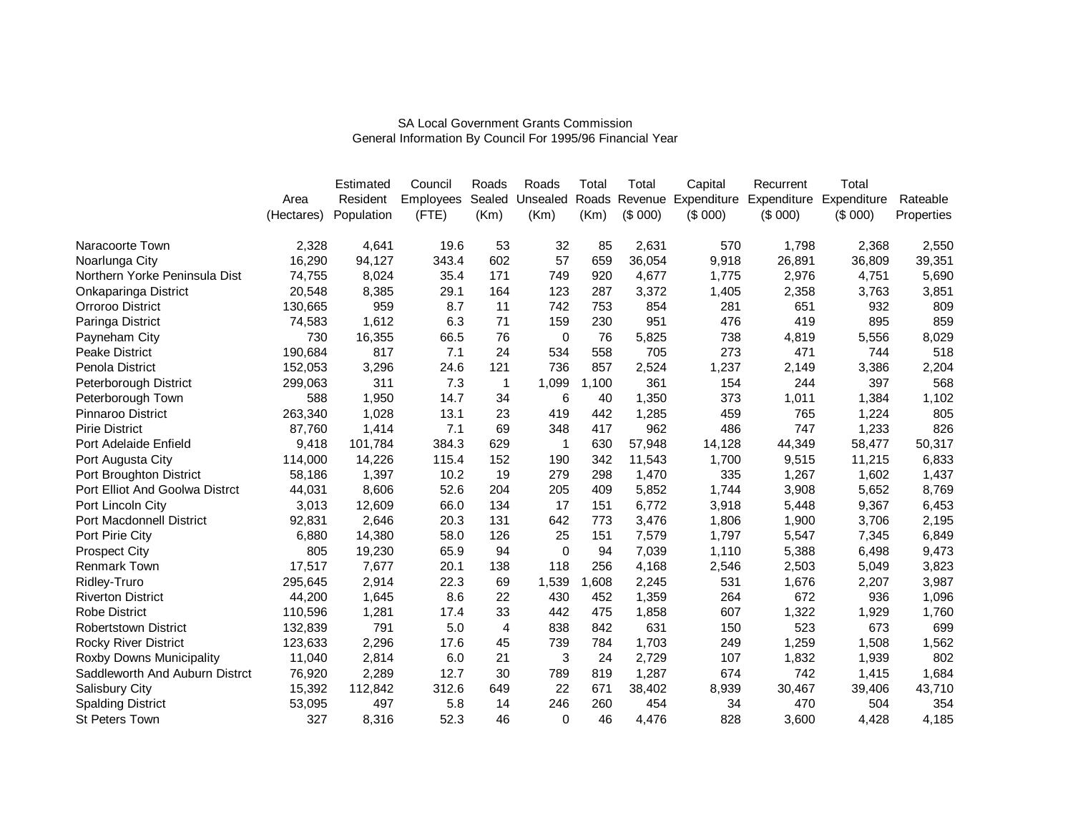|                                |            | Estimated  | Council          | Roads  | Roads    | Total | Total   | Capital | Recurrent                             | Total       |            |
|--------------------------------|------------|------------|------------------|--------|----------|-------|---------|---------|---------------------------------------|-------------|------------|
|                                | Area       | Resident   | <b>Employees</b> | Sealed | Unsealed |       |         |         | Roads Revenue Expenditure Expenditure | Expenditure | Rateable   |
|                                | (Hectares) | Population | (FTE)            | (Km)   | (Km)     | (Km)  | (\$000) | (\$000) | (\$000)                               | (\$000)     | Properties |
| Naracoorte Town                | 2,328      | 4,641      | 19.6             | 53     | 32       | 85    | 2,631   | 570     | 1,798                                 | 2,368       | 2,550      |
| Noarlunga City                 | 16,290     | 94,127     | 343.4            | 602    | 57       | 659   | 36,054  | 9,918   | 26,891                                | 36,809      | 39,351     |
| Northern Yorke Peninsula Dist  | 74,755     | 8,024      | 35.4             | 171    | 749      | 920   | 4,677   | 1,775   | 2,976                                 | 4,751       | 5,690      |
| Onkaparinga District           | 20,548     | 8,385      | 29.1             | 164    | 123      | 287   | 3,372   | 1,405   | 2,358                                 | 3,763       | 3,851      |
| Orroroo District               | 130,665    | 959        | 8.7              | 11     | 742      | 753   | 854     | 281     | 651                                   | 932         | 809        |
| Paringa District               | 74,583     | 1,612      | 6.3              | 71     | 159      | 230   | 951     | 476     | 419                                   | 895         | 859        |
| Payneham City                  | 730        | 16,355     | 66.5             | 76     | 0        | 76    | 5,825   | 738     | 4,819                                 | 5,556       | 8,029      |
| Peake District                 | 190,684    | 817        | 7.1              | 24     | 534      | 558   | 705     | 273     | 471                                   | 744         | 518        |
| Penola District                | 152,053    | 3,296      | 24.6             | 121    | 736      | 857   | 2,524   | 1,237   | 2,149                                 | 3,386       | 2,204      |
| Peterborough District          | 299,063    | 311        | 7.3              | 1      | 1,099    | 1,100 | 361     | 154     | 244                                   | 397         | 568        |
| Peterborough Town              | 588        | 1,950      | 14.7             | 34     | 6        | 40    | 1,350   | 373     | 1,011                                 | 1,384       | 1,102      |
| <b>Pinnaroo District</b>       | 263,340    | 1,028      | 13.1             | 23     | 419      | 442   | 1,285   | 459     | 765                                   | 1,224       | 805        |
| <b>Pirie District</b>          | 87,760     | 1,414      | 7.1              | 69     | 348      | 417   | 962     | 486     | 747                                   | 1,233       | 826        |
| Port Adelaide Enfield          | 9,418      | 101,784    | 384.3            | 629    | 1        | 630   | 57,948  | 14,128  | 44,349                                | 58,477      | 50,317     |
| Port Augusta City              | 114,000    | 14,226     | 115.4            | 152    | 190      | 342   | 11,543  | 1,700   | 9,515                                 | 11,215      | 6,833      |
| Port Broughton District        | 58,186     | 1,397      | 10.2             | 19     | 279      | 298   | 1,470   | 335     | 1,267                                 | 1,602       | 1,437      |
| Port Elliot And Goolwa Distrct | 44,031     | 8,606      | 52.6             | 204    | 205      | 409   | 5,852   | 1,744   | 3,908                                 | 5,652       | 8,769      |
| Port Lincoln City              | 3,013      | 12,609     | 66.0             | 134    | 17       | 151   | 6,772   | 3,918   | 5,448                                 | 9,367       | 6,453      |
| Port Macdonnell District       | 92,831     | 2,646      | 20.3             | 131    | 642      | 773   | 3,476   | 1,806   | 1,900                                 | 3,706       | 2,195      |
| Port Pirie City                | 6,880      | 14,380     | 58.0             | 126    | 25       | 151   | 7,579   | 1,797   | 5,547                                 | 7,345       | 6,849      |
| <b>Prospect City</b>           | 805        | 19,230     | 65.9             | 94     | 0        | 94    | 7,039   | 1,110   | 5,388                                 | 6,498       | 9,473      |
| Renmark Town                   | 17,517     | 7,677      | 20.1             | 138    | 118      | 256   | 4,168   | 2,546   | 2,503                                 | 5,049       | 3,823      |
| Ridley-Truro                   | 295,645    | 2,914      | 22.3             | 69     | 1,539    | 1,608 | 2,245   | 531     | 1,676                                 | 2,207       | 3,987      |
| <b>Riverton District</b>       | 44,200     | 1,645      | 8.6              | 22     | 430      | 452   | 1,359   | 264     | 672                                   | 936         | 1,096      |
| <b>Robe District</b>           | 110,596    | 1,281      | 17.4             | 33     | 442      | 475   | 1,858   | 607     | 1,322                                 | 1,929       | 1,760      |
| <b>Robertstown District</b>    | 132,839    | 791        | 5.0              | 4      | 838      | 842   | 631     | 150     | 523                                   | 673         | 699        |
| <b>Rocky River District</b>    | 123,633    | 2,296      | 17.6             | 45     | 739      | 784   | 1,703   | 249     | 1,259                                 | 1,508       | 1,562      |
| Roxby Downs Municipality       | 11,040     | 2,814      | 6.0              | 21     | 3        | 24    | 2,729   | 107     | 1,832                                 | 1,939       | 802        |
| Saddleworth And Auburn Distrct | 76,920     | 2,289      | 12.7             | 30     | 789      | 819   | 1,287   | 674     | 742                                   | 1,415       | 1,684      |
| Salisbury City                 | 15,392     | 112,842    | 312.6            | 649    | 22       | 671   | 38,402  | 8,939   | 30,467                                | 39,406      | 43,710     |
| <b>Spalding District</b>       | 53,095     | 497        | 5.8              | 14     | 246      | 260   | 454     | 34      | 470                                   | 504         | 354        |
| <b>St Peters Town</b>          | 327        | 8,316      | 52.3             | 46     | $\Omega$ | 46    | 4,476   | 828     | 3,600                                 | 4,428       | 4,185      |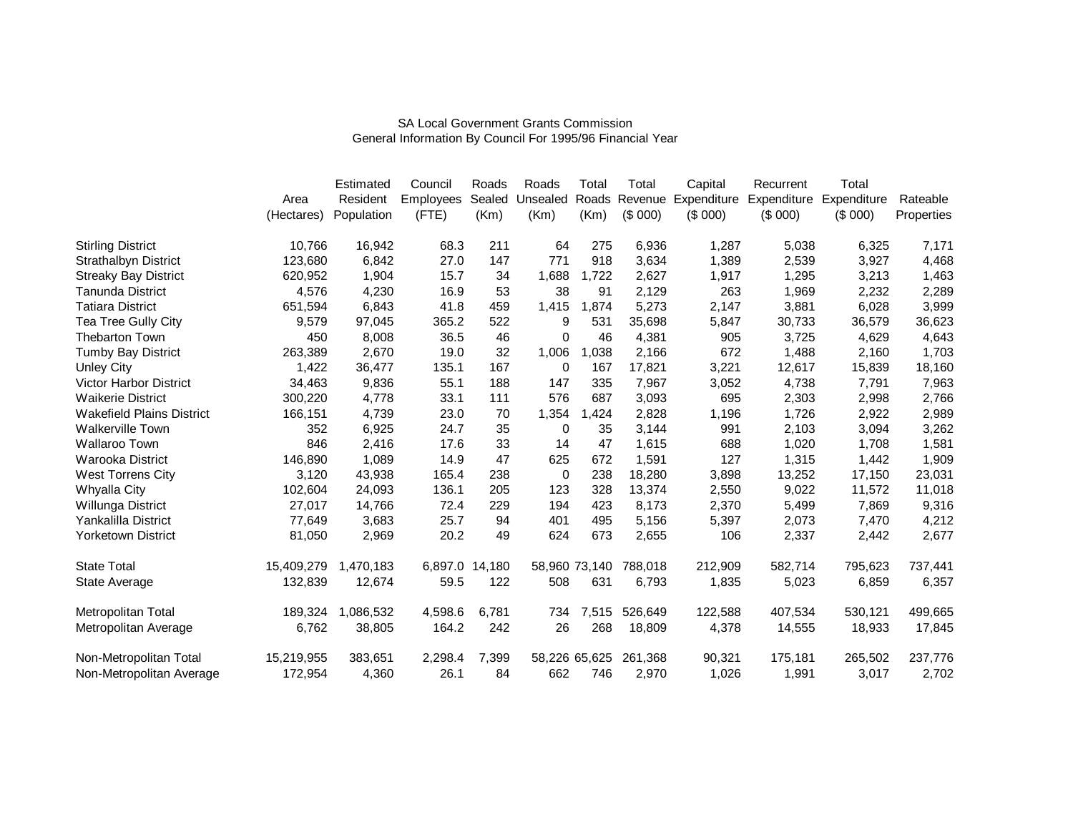|                                  |            | Estimated  | Council          | Roads  | Roads    | Total         | Total         | Capital                 | Recurrent | Total       |            |
|----------------------------------|------------|------------|------------------|--------|----------|---------------|---------------|-------------------------|-----------|-------------|------------|
|                                  | Area       | Resident   | <b>Employees</b> | Sealed | Unsealed |               | Roads Revenue | Expenditure Expenditure |           | Expenditure | Rateable   |
|                                  | (Hectares) | Population | (FTE)            | (Km)   | (Km)     | (Km)          | (\$000)       | (\$000)                 | (\$000)   | (\$000)     | Properties |
| <b>Stirling District</b>         | 10,766     | 16,942     | 68.3             | 211    | 64       | 275           | 6,936         | 1,287                   | 5,038     | 6,325       | 7,171      |
| <b>Strathalbyn District</b>      | 123,680    | 6,842      | 27.0             | 147    | 771      | 918           | 3,634         | 1,389                   | 2,539     | 3,927       | 4,468      |
| <b>Streaky Bay District</b>      | 620,952    | 1,904      | 15.7             | 34     | 1,688    | 1,722         | 2,627         | 1,917                   | 1,295     | 3,213       | 1,463      |
| <b>Tanunda District</b>          | 4,576      | 4,230      | 16.9             | 53     | 38       | 91            | 2,129         | 263                     | 1,969     | 2,232       | 2,289      |
| <b>Tatiara District</b>          | 651,594    | 6,843      | 41.8             | 459    | 1,415    | 1,874         | 5,273         | 2,147                   | 3,881     | 6,028       | 3,999      |
| Tea Tree Gully City              | 9,579      | 97,045     | 365.2            | 522    | 9        | 531           | 35,698        | 5,847                   | 30,733    | 36,579      | 36,623     |
| <b>Thebarton Town</b>            | 450        | 8,008      | 36.5             | 46     | $\Omega$ | 46            | 4,381         | 905                     | 3,725     | 4,629       | 4,643      |
| <b>Tumby Bay District</b>        | 263,389    | 2,670      | 19.0             | 32     | 1,006    | 1,038         | 2,166         | 672                     | 1,488     | 2,160       | 1,703      |
| <b>Unley City</b>                | 1,422      | 36,477     | 135.1            | 167    | 0        | 167           | 17,821        | 3,221                   | 12,617    | 15,839      | 18,160     |
| <b>Victor Harbor District</b>    | 34,463     | 9,836      | 55.1             | 188    | 147      | 335           | 7,967         | 3,052                   | 4,738     | 7,791       | 7,963      |
| <b>Waikerie District</b>         | 300,220    | 4,778      | 33.1             | 111    | 576      | 687           | 3,093         | 695                     | 2,303     | 2,998       | 2,766      |
| <b>Wakefield Plains District</b> | 166,151    | 4,739      | 23.0             | 70     | 1,354    | 1,424         | 2,828         | 1,196                   | 1,726     | 2,922       | 2,989      |
| <b>Walkerville Town</b>          | 352        | 6,925      | 24.7             | 35     | 0        | 35            | 3,144         | 991                     | 2,103     | 3,094       | 3,262      |
| <b>Wallaroo Town</b>             | 846        | 2,416      | 17.6             | 33     | 14       | 47            | 1,615         | 688                     | 1,020     | 1,708       | 1,581      |
| Warooka District                 | 146,890    | 1,089      | 14.9             | 47     | 625      | 672           | 1,591         | 127                     | 1,315     | 1,442       | 1,909      |
| West Torrens City                | 3,120      | 43,938     | 165.4            | 238    | 0        | 238           | 18,280        | 3,898                   | 13,252    | 17,150      | 23,031     |
| Whyalla City                     | 102,604    | 24,093     | 136.1            | 205    | 123      | 328           | 13,374        | 2,550                   | 9,022     | 11,572      | 11,018     |
| Willunga District                | 27,017     | 14,766     | 72.4             | 229    | 194      | 423           | 8,173         | 2,370                   | 5,499     | 7,869       | 9,316      |
| Yankalilla District              | 77,649     | 3,683      | 25.7             | 94     | 401      | 495           | 5,156         | 5,397                   | 2,073     | 7,470       | 4,212      |
| <b>Yorketown District</b>        | 81,050     | 2,969      | 20.2             | 49     | 624      | 673           | 2,655         | 106                     | 2,337     | 2,442       | 2,677      |
| <b>State Total</b>               | 15,409,279 | 1,470,183  | 6,897.0          | 14,180 |          | 58,960 73,140 | 788,018       | 212,909                 | 582,714   | 795,623     | 737,441    |
| State Average                    | 132,839    | 12,674     | 59.5             | 122    | 508      | 631           | 6,793         | 1,835                   | 5,023     | 6,859       | 6,357      |
| Metropolitan Total               | 189,324    | 1,086,532  | 4,598.6          | 6,781  | 734      | 7,515         | 526,649       | 122,588                 | 407,534   | 530,121     | 499,665    |
| Metropolitan Average             | 6,762      | 38,805     | 164.2            | 242    | 26       | 268           | 18,809        | 4,378                   | 14,555    | 18,933      | 17,845     |
| Non-Metropolitan Total           | 15,219,955 | 383,651    | 2,298.4          | 7,399  |          | 58,226 65,625 | 261,368       | 90,321                  | 175,181   | 265,502     | 237,776    |
| Non-Metropolitan Average         | 172,954    | 4,360      | 26.1             | 84     | 662      | 746           | 2,970         | 1,026                   | 1,991     | 3,017       | 2,702      |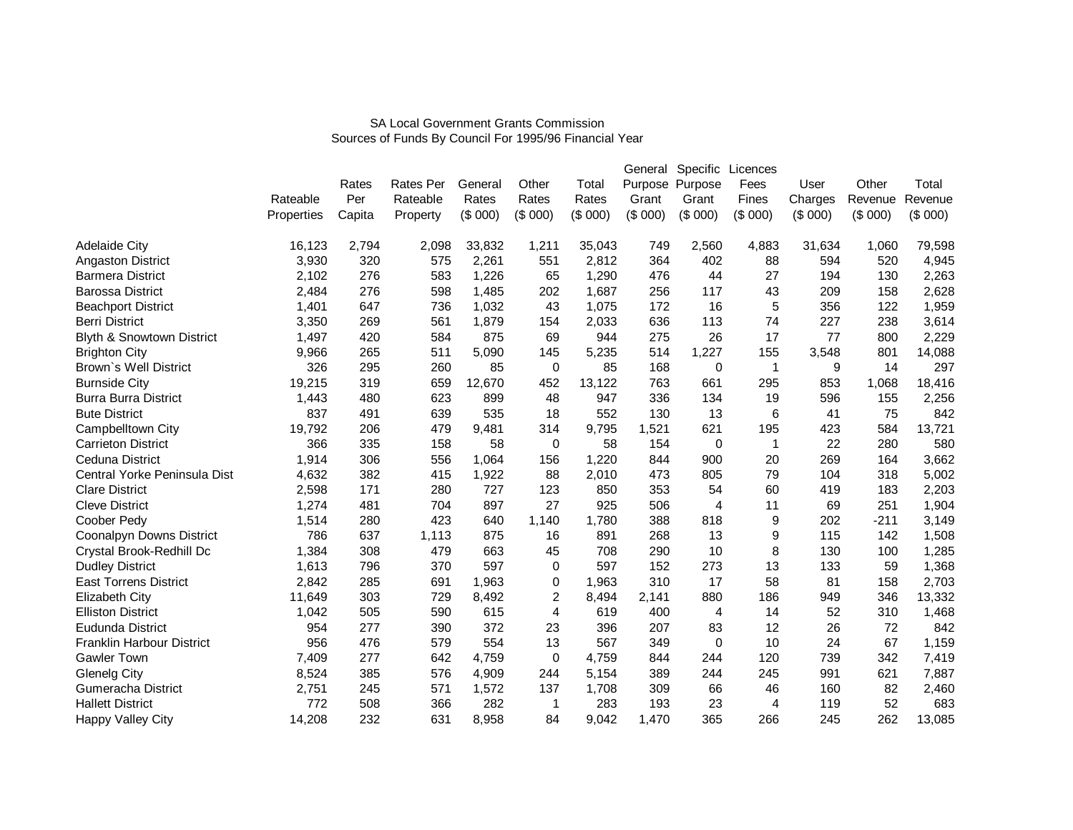|                                      |            |        |                  | General |         |         | General | Specific        | Licences |         |         |         |
|--------------------------------------|------------|--------|------------------|---------|---------|---------|---------|-----------------|----------|---------|---------|---------|
|                                      |            | Rates  | <b>Rates Per</b> |         | Other   | Total   |         | Purpose Purpose | Fees     | User    | Other   | Total   |
|                                      | Rateable   | Per    | Rateable         | Rates   | Rates   | Rates   | Grant   | Grant           | Fines    | Charges | Revenue | Revenue |
|                                      | Properties | Capita | Property         | (\$000) | (\$000) | (\$000) | (\$000) | (\$000)         | (\$000)  | (\$000) | (\$000) | (\$000) |
| <b>Adelaide City</b>                 | 16,123     | 2,794  | 2,098            | 33,832  | 1,211   | 35,043  | 749     | 2,560           | 4,883    | 31,634  | 1,060   | 79,598  |
| <b>Angaston District</b>             | 3,930      | 320    | 575              | 2,261   | 551     | 2,812   | 364     | 402             | 88       | 594     | 520     | 4,945   |
| <b>Barmera District</b>              | 2,102      | 276    | 583              | 1,226   | 65      | 1,290   | 476     | 44              | 27       | 194     | 130     | 2,263   |
| <b>Barossa District</b>              | 2,484      | 276    | 598              | 1,485   | 202     | 1,687   | 256     | 117             | 43       | 209     | 158     | 2,628   |
| <b>Beachport District</b>            | 1,401      | 647    | 736              | 1,032   | 43      | 1,075   | 172     | 16              | 5        | 356     | 122     | 1,959   |
| <b>Berri District</b>                | 3,350      | 269    | 561              | 1,879   | 154     | 2,033   | 636     | 113             | 74       | 227     | 238     | 3,614   |
| <b>Blyth &amp; Snowtown District</b> | 1,497      | 420    | 584              | 875     | 69      | 944     | 275     | 26              | 17       | 77      | 800     | 2,229   |
| <b>Brighton City</b>                 | 9,966      | 265    | 511              | 5,090   | 145     | 5,235   | 514     | 1,227           | 155      | 3,548   | 801     | 14,088  |
| Brown's Well District                | 326        | 295    | 260              | 85      | 0       | 85      | 168     | 0               | 1        | 9       | 14      | 297     |
| <b>Burnside City</b>                 | 19,215     | 319    | 659              | 12,670  | 452     | 13,122  | 763     | 661             | 295      | 853     | 1,068   | 18,416  |
| <b>Burra Burra District</b>          | 1,443      | 480    | 623              | 899     | 48      | 947     | 336     | 134             | 19       | 596     | 155     | 2,256   |
| <b>Bute District</b>                 | 837        | 491    | 639              | 535     | 18      | 552     | 130     | 13              | 6        | 41      | 75      | 842     |
| Campbelltown City                    | 19,792     | 206    | 479              | 9,481   | 314     | 9,795   | 1,521   | 621             | 195      | 423     | 584     | 13,721  |
| <b>Carrieton District</b>            | 366        | 335    | 158              | 58      | 0       | 58      | 154     | 0               | 1        | 22      | 280     | 580     |
| <b>Ceduna District</b>               | 1,914      | 306    | 556              | 1,064   | 156     | 1,220   | 844     | 900             | 20       | 269     | 164     | 3,662   |
| Central Yorke Peninsula Dist         | 4,632      | 382    | 415              | 1,922   | 88      | 2,010   | 473     | 805             | 79       | 104     | 318     | 5,002   |
| <b>Clare District</b>                | 2,598      | 171    | 280              | 727     | 123     | 850     | 353     | 54              | 60       | 419     | 183     | 2,203   |
| <b>Cleve District</b>                | 1,274      | 481    | 704              | 897     | 27      | 925     | 506     | 4               | 11       | 69      | 251     | 1,904   |
| Coober Pedy                          | 1,514      | 280    | 423              | 640     | 1,140   | 1.780   | 388     | 818             | 9        | 202     | $-211$  | 3,149   |
| Coonalpyn Downs District             | 786        | 637    | 1,113            | 875     | 16      | 891     | 268     | 13              | 9        | 115     | 142     | 1,508   |
| Crystal Brook-Redhill Dc             | 1,384      | 308    | 479              | 663     | 45      | 708     | 290     | 10              | 8        | 130     | 100     | 1,285   |
| <b>Dudley District</b>               | 1,613      | 796    | 370              | 597     | 0       | 597     | 152     | 273             | 13       | 133     | 59      | 1,368   |
| <b>East Torrens District</b>         | 2,842      | 285    | 691              | 1,963   | 0       | 1,963   | 310     | 17              | 58       | 81      | 158     | 2,703   |
| Elizabeth City                       | 11,649     | 303    | 729              | 8,492   | 2       | 8,494   | 2,141   | 880             | 186      | 949     | 346     | 13,332  |
| <b>Elliston District</b>             | 1,042      | 505    | 590              | 615     | 4       | 619     | 400     | 4               | 14       | 52      | 310     | 1,468   |
| Eudunda District                     | 954        | 277    | 390              | 372     | 23      | 396     | 207     | 83              | 12       | 26      | 72      | 842     |
| <b>Franklin Harbour District</b>     | 956        | 476    | 579              | 554     | 13      | 567     | 349     | 0               | 10       | 24      | 67      | 1,159   |
| <b>Gawler Town</b>                   | 7,409      | 277    | 642              | 4,759   | 0       | 4,759   | 844     | 244             | 120      | 739     | 342     | 7,419   |
| Glenelg City                         | 8,524      | 385    | 576              | 4,909   | 244     | 5,154   | 389     | 244             | 245      | 991     | 621     | 7,887   |
| Gumeracha District                   | 2,751      | 245    | 571              | 1,572   | 137     | 1,708   | 309     | 66              | 46       | 160     | 82      | 2,460   |
| <b>Hallett District</b>              | 772        | 508    | 366              | 282     | 1       | 283     | 193     | 23              | 4        | 119     | 52      | 683     |
| Happy Valley City                    | 14,208     | 232    | 631              | 8,958   | 84      | 9,042   | 1,470   | 365             | 266      | 245     | 262     | 13,085  |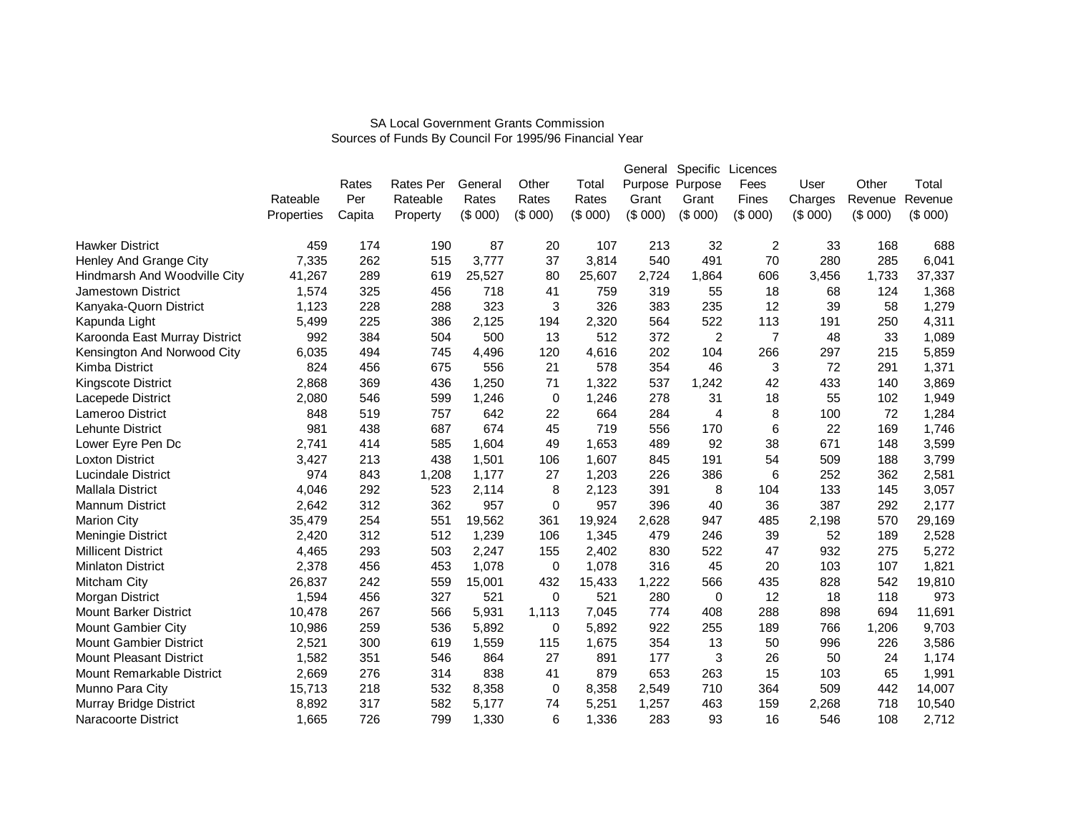|                                |            |        |           |         |             |         | General | Specific        | Licences       |         |         |         |
|--------------------------------|------------|--------|-----------|---------|-------------|---------|---------|-----------------|----------------|---------|---------|---------|
|                                |            | Rates  | Rates Per | General | Other       | Total   |         | Purpose Purpose | Fees           | User    | Other   | Total   |
|                                | Rateable   | Per    | Rateable  | Rates   | Rates       | Rates   | Grant   | Grant           | Fines          | Charges | Revenue | Revenue |
|                                | Properties | Capita | Property  | (\$000) | (\$000)     | (\$000) | (\$000) | (\$000)         | (\$000)        | (\$000) | (\$000) | (\$000) |
|                                |            |        |           |         |             |         |         |                 |                |         |         |         |
| <b>Hawker District</b>         | 459        | 174    | 190       | 87      | 20          | 107     | 213     | 32              | $\overline{c}$ | 33      | 168     | 688     |
| Henley And Grange City         | 7,335      | 262    | 515       | 3,777   | 37          | 3,814   | 540     | 491             | 70             | 280     | 285     | 6,041   |
| Hindmarsh And Woodville City   | 41,267     | 289    | 619       | 25,527  | 80          | 25,607  | 2,724   | 1,864           | 606            | 3,456   | 1,733   | 37,337  |
| Jamestown District             | 1,574      | 325    | 456       | 718     | 41          | 759     | 319     | 55              | 18             | 68      | 124     | 1,368   |
| Kanyaka-Quorn District         | 1,123      | 228    | 288       | 323     | 3           | 326     | 383     | 235             | 12             | 39      | 58      | 1,279   |
| Kapunda Light                  | 5,499      | 225    | 386       | 2,125   | 194         | 2,320   | 564     | 522             | 113            | 191     | 250     | 4,311   |
| Karoonda East Murray District  | 992        | 384    | 504       | 500     | 13          | 512     | 372     | $\overline{c}$  | $\overline{7}$ | 48      | 33      | 1,089   |
| Kensington And Norwood City    | 6,035      | 494    | 745       | 4,496   | 120         | 4,616   | 202     | 104             | 266            | 297     | 215     | 5,859   |
| Kimba District                 | 824        | 456    | 675       | 556     | 21          | 578     | 354     | 46              | 3              | 72      | 291     | 1,371   |
| Kingscote District             | 2,868      | 369    | 436       | 1,250   | 71          | 1,322   | 537     | 1,242           | 42             | 433     | 140     | 3,869   |
| Lacepede District              | 2,080      | 546    | 599       | 1,246   | 0           | 1,246   | 278     | 31              | 18             | 55      | 102     | 1,949   |
| <b>Lameroo District</b>        | 848        | 519    | 757       | 642     | 22          | 664     | 284     | 4               | 8              | 100     | 72      | 1,284   |
| <b>Lehunte District</b>        | 981        | 438    | 687       | 674     | 45          | 719     | 556     | 170             | 6              | 22      | 169     | 1,746   |
| Lower Eyre Pen Dc              | 2,741      | 414    | 585       | 1,604   | 49          | 1,653   | 489     | 92              | 38             | 671     | 148     | 3,599   |
| <b>Loxton District</b>         | 3,427      | 213    | 438       | 1,501   | 106         | 1,607   | 845     | 191             | 54             | 509     | 188     | 3,799   |
| <b>Lucindale District</b>      | 974        | 843    | 1,208     | 1,177   | 27          | 1,203   | 226     | 386             | 6              | 252     | 362     | 2,581   |
| Mallala District               | 4,046      | 292    | 523       | 2,114   | 8           | 2,123   | 391     | 8               | 104            | 133     | 145     | 3,057   |
| Mannum District                | 2,642      | 312    | 362       | 957     | 0           | 957     | 396     | 40              | 36             | 387     | 292     | 2,177   |
| <b>Marion City</b>             | 35,479     | 254    | 551       | 19,562  | 361         | 19,924  | 2,628   | 947             | 485            | 2,198   | 570     | 29,169  |
| Meningie District              | 2,420      | 312    | 512       | 1,239   | 106         | 1,345   | 479     | 246             | 39             | 52      | 189     | 2,528   |
| <b>Millicent District</b>      | 4,465      | 293    | 503       | 2,247   | 155         | 2,402   | 830     | 522             | 47             | 932     | 275     | 5,272   |
| <b>Minlaton District</b>       | 2,378      | 456    | 453       | 1,078   | 0           | 1,078   | 316     | 45              | 20             | 103     | 107     | 1,821   |
| Mitcham City                   | 26,837     | 242    | 559       | 15,001  | 432         | 15,433  | 1,222   | 566             | 435            | 828     | 542     | 19,810  |
| Morgan District                | 1,594      | 456    | 327       | 521     | $\Omega$    | 521     | 280     | 0               | 12             | 18      | 118     | 973     |
| <b>Mount Barker District</b>   | 10,478     | 267    | 566       | 5,931   | 1,113       | 7,045   | 774     | 408             | 288            | 898     | 694     | 11,691  |
| Mount Gambier City             | 10,986     | 259    | 536       | 5,892   | 0           | 5,892   | 922     | 255             | 189            | 766     | 1,206   | 9,703   |
| <b>Mount Gambier District</b>  | 2,521      | 300    | 619       | 1,559   | 115         | 1,675   | 354     | 13              | 50             | 996     | 226     | 3,586   |
| <b>Mount Pleasant District</b> | 1,582      | 351    | 546       | 864     | 27          | 891     | 177     | 3               | 26             | 50      | 24      | 1,174   |
| Mount Remarkable District      | 2,669      | 276    | 314       | 838     | 41          | 879     | 653     | 263             | 15             | 103     | 65      | 1,991   |
| Munno Para City                | 15,713     | 218    | 532       | 8,358   | $\mathbf 0$ | 8,358   | 2,549   | 710             | 364            | 509     | 442     | 14,007  |
| Murray Bridge District         | 8,892      | 317    | 582       | 5,177   | 74          | 5,251   | 1,257   | 463             | 159            | 2,268   | 718     | 10,540  |
| Naracoorte District            | 1,665      | 726    | 799       | 1,330   | 6           | 1,336   | 283     | 93              | 16             | 546     | 108     | 2,712   |
|                                |            |        |           |         |             |         |         |                 |                |         |         |         |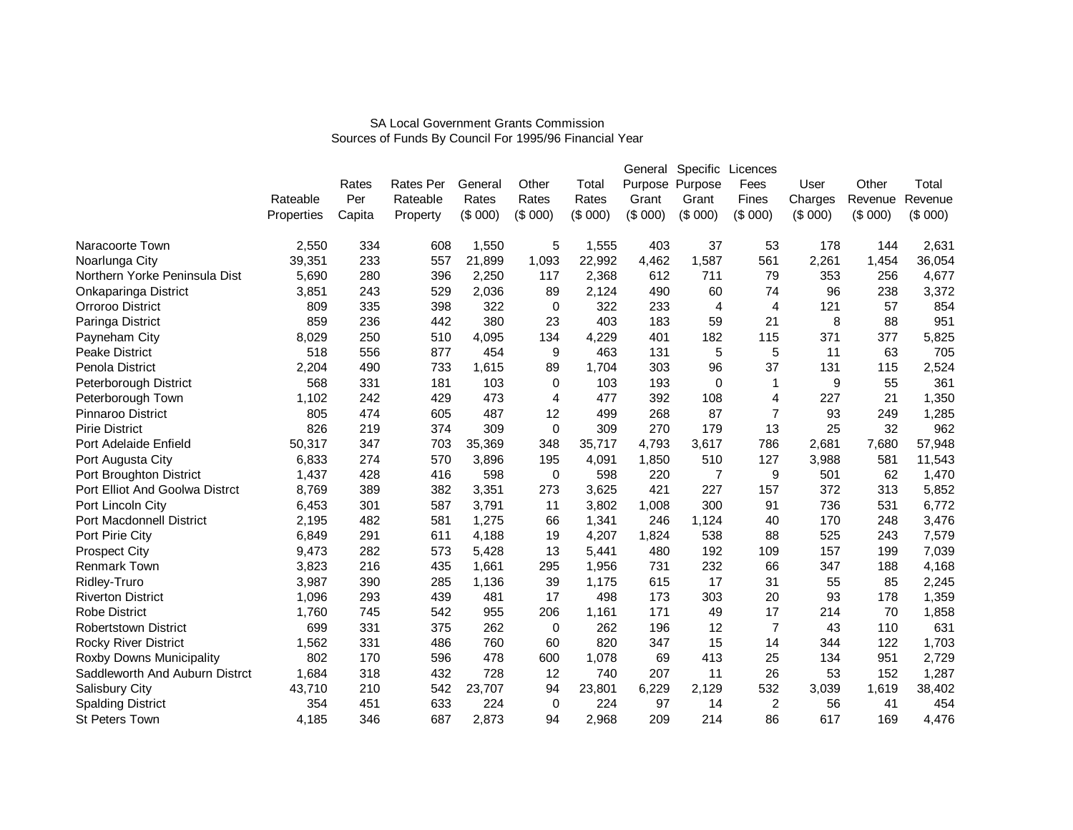| User<br>Charges<br>(\$000)<br>53<br>178<br>2,261<br>353<br>79<br>96<br>74<br>121<br>4<br>8<br>371<br>11<br>131 | Other<br>Revenue<br>(\$000)<br>144<br>1,454<br>256<br>238<br>57<br>88<br>377<br>63                                                                | Total<br>Revenue<br>(\$000)<br>2,631<br>36,054<br>4,677<br>3,372<br>854<br>951<br>5,825<br>705                                                                                                                                                                           |
|----------------------------------------------------------------------------------------------------------------|---------------------------------------------------------------------------------------------------------------------------------------------------|--------------------------------------------------------------------------------------------------------------------------------------------------------------------------------------------------------------------------------------------------------------------------|
|                                                                                                                |                                                                                                                                                   |                                                                                                                                                                                                                                                                          |
|                                                                                                                |                                                                                                                                                   |                                                                                                                                                                                                                                                                          |
|                                                                                                                |                                                                                                                                                   |                                                                                                                                                                                                                                                                          |
|                                                                                                                |                                                                                                                                                   |                                                                                                                                                                                                                                                                          |
|                                                                                                                |                                                                                                                                                   |                                                                                                                                                                                                                                                                          |
|                                                                                                                |                                                                                                                                                   |                                                                                                                                                                                                                                                                          |
|                                                                                                                |                                                                                                                                                   |                                                                                                                                                                                                                                                                          |
|                                                                                                                |                                                                                                                                                   |                                                                                                                                                                                                                                                                          |
|                                                                                                                |                                                                                                                                                   |                                                                                                                                                                                                                                                                          |
|                                                                                                                |                                                                                                                                                   |                                                                                                                                                                                                                                                                          |
|                                                                                                                |                                                                                                                                                   |                                                                                                                                                                                                                                                                          |
|                                                                                                                |                                                                                                                                                   |                                                                                                                                                                                                                                                                          |
|                                                                                                                |                                                                                                                                                   | 2,524                                                                                                                                                                                                                                                                    |
|                                                                                                                |                                                                                                                                                   | 361                                                                                                                                                                                                                                                                      |
|                                                                                                                |                                                                                                                                                   | 1,350                                                                                                                                                                                                                                                                    |
|                                                                                                                |                                                                                                                                                   | 1,285                                                                                                                                                                                                                                                                    |
|                                                                                                                |                                                                                                                                                   | 962                                                                                                                                                                                                                                                                      |
|                                                                                                                |                                                                                                                                                   | 57,948                                                                                                                                                                                                                                                                   |
|                                                                                                                |                                                                                                                                                   | 11,543                                                                                                                                                                                                                                                                   |
|                                                                                                                |                                                                                                                                                   | 1,470                                                                                                                                                                                                                                                                    |
|                                                                                                                |                                                                                                                                                   | 5,852                                                                                                                                                                                                                                                                    |
|                                                                                                                |                                                                                                                                                   | 6,772                                                                                                                                                                                                                                                                    |
|                                                                                                                |                                                                                                                                                   | 3,476                                                                                                                                                                                                                                                                    |
|                                                                                                                |                                                                                                                                                   | 7,579                                                                                                                                                                                                                                                                    |
|                                                                                                                |                                                                                                                                                   | 7,039                                                                                                                                                                                                                                                                    |
|                                                                                                                |                                                                                                                                                   | 4,168                                                                                                                                                                                                                                                                    |
|                                                                                                                |                                                                                                                                                   | 2,245                                                                                                                                                                                                                                                                    |
|                                                                                                                |                                                                                                                                                   | 1,359                                                                                                                                                                                                                                                                    |
|                                                                                                                |                                                                                                                                                   | 1,858                                                                                                                                                                                                                                                                    |
|                                                                                                                | 110                                                                                                                                               | 631                                                                                                                                                                                                                                                                      |
|                                                                                                                | 122                                                                                                                                               | 1,703                                                                                                                                                                                                                                                                    |
|                                                                                                                | 951                                                                                                                                               | 2,729                                                                                                                                                                                                                                                                    |
|                                                                                                                | 152                                                                                                                                               | 1,287                                                                                                                                                                                                                                                                    |
|                                                                                                                | 1,619                                                                                                                                             | 38,402                                                                                                                                                                                                                                                                   |
|                                                                                                                | 41                                                                                                                                                | 454                                                                                                                                                                                                                                                                      |
|                                                                                                                | 169                                                                                                                                               | 4,476                                                                                                                                                                                                                                                                    |
| 91<br>31                                                                                                       | 4<br>$\overline{7}$<br>13<br>786<br>2,681<br>127<br>501<br>9<br>157<br>40<br>88<br>109<br>66<br>20<br>17<br>7<br>14<br>25<br>26<br>532<br>2<br>86 | 5<br>37<br>115<br>55<br>9<br>227<br>21<br>93<br>249<br>32<br>25<br>7,680<br>3,988<br>581<br>62<br>372<br>313<br>736<br>531<br>170<br>248<br>525<br>243<br>157<br>199<br>347<br>188<br>55<br>85<br>93<br>178<br>214<br>70<br>43<br>344<br>134<br>53<br>3,039<br>56<br>617 |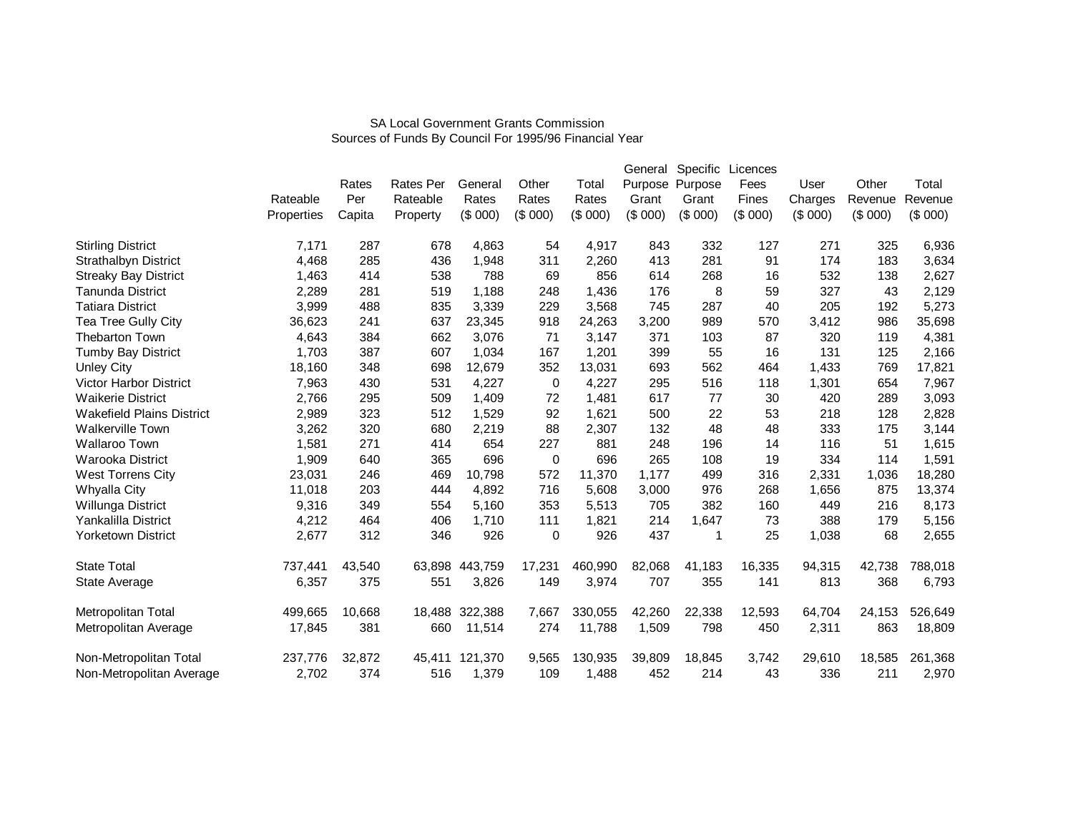|                                  |            |        |                  |         |         |         | General | Specific        | Licences |         |         |         |
|----------------------------------|------------|--------|------------------|---------|---------|---------|---------|-----------------|----------|---------|---------|---------|
|                                  |            | Rates  | <b>Rates Per</b> | General | Other   | Total   |         | Purpose Purpose | Fees     | User    | Other   | Total   |
|                                  | Rateable   | Per    | Rateable         | Rates   | Rates   | Rates   | Grant   | Grant           | Fines    | Charges | Revenue | Revenue |
|                                  | Properties | Capita | Property         | (\$000) | (\$000) | (\$000) | (\$000) | (\$000)         | (\$000)  | (\$000) | (\$000) | (\$000) |
| <b>Stirling District</b>         | 7.171      | 287    | 678              | 4,863   | 54      | 4,917   | 843     | 332             | 127      | 271     | 325     | 6,936   |
| <b>Strathalbyn District</b>      | 4,468      | 285    | 436              | 1,948   | 311     | 2,260   | 413     | 281             | 91       | 174     | 183     | 3,634   |
| <b>Streaky Bay District</b>      | 1,463      | 414    | 538              | 788     | 69      | 856     | 614     | 268             | 16       | 532     | 138     | 2,627   |
| <b>Tanunda District</b>          | 2,289      | 281    | 519              | 1,188   | 248     | 1,436   | 176     | 8               | 59       | 327     | 43      | 2,129   |
| <b>Tatiara District</b>          | 3,999      | 488    | 835              | 3,339   | 229     | 3,568   | 745     | 287             | 40       | 205     | 192     | 5,273   |
| Tea Tree Gully City              | 36,623     | 241    | 637              | 23,345  | 918     | 24,263  | 3,200   | 989             | 570      | 3,412   | 986     | 35,698  |
| <b>Thebarton Town</b>            | 4,643      | 384    | 662              | 3,076   | 71      | 3,147   | 371     | 103             | 87       | 320     | 119     | 4,381   |
| <b>Tumby Bay District</b>        | 1,703      | 387    | 607              | 1,034   | 167     | 1,201   | 399     | 55              | 16       | 131     | 125     | 2,166   |
| <b>Unley City</b>                | 18,160     | 348    | 698              | 12,679  | 352     | 13,031  | 693     | 562             | 464      | 1,433   | 769     | 17,821  |
| <b>Victor Harbor District</b>    | 7,963      | 430    | 531              | 4,227   | 0       | 4,227   | 295     | 516             | 118      | 1,301   | 654     | 7,967   |
| <b>Waikerie District</b>         | 2,766      | 295    | 509              | 1,409   | 72      | 1,481   | 617     | 77              | 30       | 420     | 289     | 3,093   |
| <b>Wakefield Plains District</b> | 2,989      | 323    | 512              | 1,529   | 92      | 1,621   | 500     | 22              | 53       | 218     | 128     | 2,828   |
| <b>Walkerville Town</b>          | 3,262      | 320    | 680              | 2,219   | 88      | 2,307   | 132     | 48              | 48       | 333     | 175     | 3,144   |
| <b>Wallaroo Town</b>             | 1,581      | 271    | 414              | 654     | 227     | 881     | 248     | 196             | 14       | 116     | 51      | 1,615   |
| Warooka District                 | 1,909      | 640    | 365              | 696     | 0       | 696     | 265     | 108             | 19       | 334     | 114     | 1,591   |
| West Torrens City                | 23,031     | 246    | 469              | 10,798  | 572     | 11,370  | 1,177   | 499             | 316      | 2,331   | 1,036   | 18,280  |
| Whyalla City                     | 11,018     | 203    | 444              | 4,892   | 716     | 5,608   | 3,000   | 976             | 268      | 1,656   | 875     | 13,374  |
| Willunga District                | 9,316      | 349    | 554              | 5,160   | 353     | 5,513   | 705     | 382             | 160      | 449     | 216     | 8,173   |
| Yankalilla District              | 4,212      | 464    | 406              | 1,710   | 111     | 1,821   | 214     | 1,647           | 73       | 388     | 179     | 5,156   |
| <b>Yorketown District</b>        | 2,677      | 312    | 346              | 926     | 0       | 926     | 437     | 1               | 25       | 1,038   | 68      | 2,655   |
| <b>State Total</b>               | 737,441    | 43,540 | 63,898           | 443,759 | 17,231  | 460,990 | 82,068  | 41,183          | 16,335   | 94,315  | 42,738  | 788,018 |
| State Average                    | 6,357      | 375    | 551              | 3,826   | 149     | 3,974   | 707     | 355             | 141      | 813     | 368     | 6,793   |
| Metropolitan Total               | 499,665    | 10,668 | 18,488           | 322,388 | 7,667   | 330,055 | 42,260  | 22,338          | 12,593   | 64,704  | 24,153  | 526,649 |
| Metropolitan Average             | 17,845     | 381    | 660              | 11,514  | 274     | 11,788  | 1,509   | 798             | 450      | 2,311   | 863     | 18,809  |
| Non-Metropolitan Total           | 237,776    | 32,872 | 45,411           | 121,370 | 9,565   | 130,935 | 39,809  | 18,845          | 3,742    | 29,610  | 18,585  | 261,368 |
| Non-Metropolitan Average         | 2,702      | 374    | 516              | 1,379   | 109     | 1,488   | 452     | 214             | 43       | 336     | 211     | 2,970   |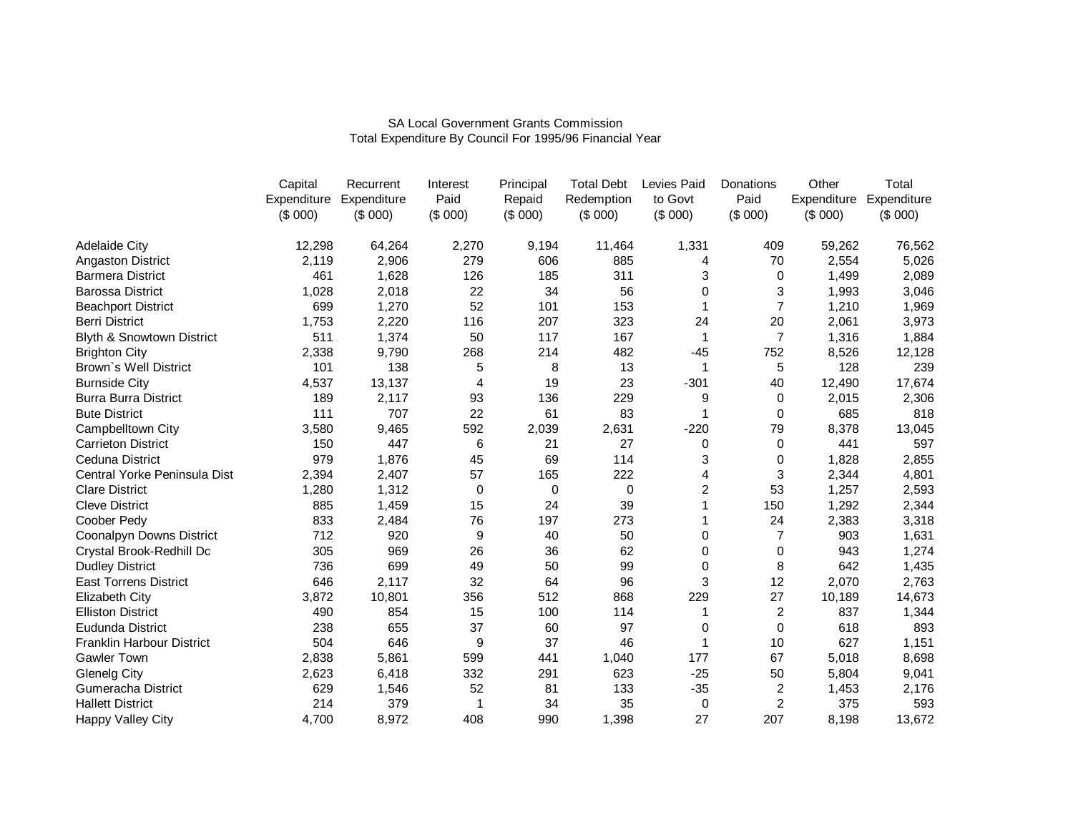|                                  | Capital | Recurrent               | Interest | Principal   | <b>Total Debt</b> | Levies Paid | Donations      | Other       | Total       |
|----------------------------------|---------|-------------------------|----------|-------------|-------------------|-------------|----------------|-------------|-------------|
|                                  |         | Expenditure Expenditure | Paid     | Repaid      | Redemption        | to Govt     | Paid           | Expenditure | Expenditure |
|                                  | (\$000) | (\$000)                 | (\$000)  | (\$000)     | (\$000)           | (\$000)     | (\$000)        | (\$000)     | (\$000)     |
| <b>Adelaide City</b>             | 12,298  | 64,264                  | 2,270    | 9,194       | 11,464            | 1,331       | 409            | 59,262      | 76,562      |
| Angaston District                | 2,119   | 2,906                   | 279      | 606         | 885               | 4           | 70             | 2,554       | 5,026       |
| <b>Barmera District</b>          | 461     | 1,628                   | 126      | 185         | 311               | 3           | $\Omega$       | 1,499       | 2,089       |
| <b>Barossa District</b>          | 1,028   | 2,018                   | 22       | 34          | 56                | 0           | 3              | 1,993       | 3,046       |
| <b>Beachport District</b>        | 699     | 1,270                   | 52       | 101         | 153               |             | $\overline{7}$ | 1,210       | 1,969       |
| <b>Berri District</b>            | 1,753   | 2,220                   | 116      | 207         | 323               | 24          | 20             | 2,061       | 3,973       |
| Blyth & Snowtown District        | 511     | 1,374                   | 50       | 117         | 167               | 1           | $\overline{7}$ | 1,316       | 1,884       |
| <b>Brighton City</b>             | 2,338   | 9,790                   | 268      | 214         | 482               | $-45$       | 752            | 8,526       | 12,128      |
| Brown's Well District            | 101     | 138                     | 5        | 8           | 13                | 1           | 5              | 128         | 239         |
| <b>Burnside City</b>             | 4,537   | 13,137                  | 4        | 19          | 23                | $-301$      | 40             | 12,490      | 17,674      |
| <b>Burra Burra District</b>      | 189     | 2,117                   | 93       | 136         | 229               | 9           | 0              | 2,015       | 2,306       |
| <b>Bute District</b>             | 111     | 707                     | 22       | 61          | 83                | 1           | 0              | 685         | 818         |
| Campbelltown City                | 3,580   | 9,465                   | 592      | 2,039       | 2,631             | $-220$      | 79             | 8,378       | 13,045      |
| <b>Carrieton District</b>        | 150     | 447                     | 6        | 21          | 27                | 0           | 0              | 441         | 597         |
| <b>Ceduna District</b>           | 979     | 1,876                   | 45       | 69          | 114               | 3           | 0              | 1,828       | 2,855       |
| Central Yorke Peninsula Dist     | 2,394   | 2,407                   | 57       | 165         | 222               | 4           | 3              | 2,344       | 4,801       |
| <b>Clare District</b>            | 1,280   | 1,312                   | 0        | $\mathbf 0$ | $\mathbf 0$       | 2           | 53             | 1,257       | 2,593       |
| <b>Cleve District</b>            | 885     | 1,459                   | 15       | 24          | 39                |             | 150            | 1,292       | 2,344       |
| Coober Pedy                      | 833     | 2,484                   | 76       | 197         | 273               |             | 24             | 2,383       | 3,318       |
| Coonalpyn Downs District         | 712     | 920                     | 9        | 40          | 50                | 0           | 7              | 903         | 1,631       |
| Crystal Brook-Redhill Dc         | 305     | 969                     | 26       | 36          | 62                | 0           | 0              | 943         | 1,274       |
| <b>Dudley District</b>           | 736     | 699                     | 49       | 50          | 99                | 0           | 8              | 642         | 1,435       |
| <b>East Torrens District</b>     | 646     | 2,117                   | 32       | 64          | 96                | 3           | 12             | 2,070       | 2,763       |
| Elizabeth City                   | 3,872   | 10,801                  | 356      | 512         | 868               | 229         | 27             | 10,189      | 14,673      |
| <b>Elliston District</b>         | 490     | 854                     | 15       | 100         | 114               | 1           | $\overline{2}$ | 837         | 1,344       |
| Eudunda District                 | 238     | 655                     | 37       | 60          | 97                | 0           | $\Omega$       | 618         | 893         |
| <b>Franklin Harbour District</b> | 504     | 646                     | 9        | 37          | 46                |             | 10             | 627         | 1,151       |
| <b>Gawler Town</b>               | 2,838   | 5,861                   | 599      | 441         | 1,040             | 177         | 67             | 5,018       | 8,698       |
| <b>Glenelg City</b>              | 2,623   | 6,418                   | 332      | 291         | 623               | $-25$       | 50             | 5,804       | 9,041       |
| <b>Gumeracha District</b>        | 629     | 1,546                   | 52       | 81          | 133               | $-35$       | 2              | 1,453       | 2,176       |
| <b>Hallett District</b>          | 214     | 379                     | 1        | 34          | 35                | 0           | $\overline{2}$ | 375         | 593         |
| Happy Valley City                | 4,700   | 8,972                   | 408      | 990         | 1,398             | 27          | 207            | 8,198       | 13,672      |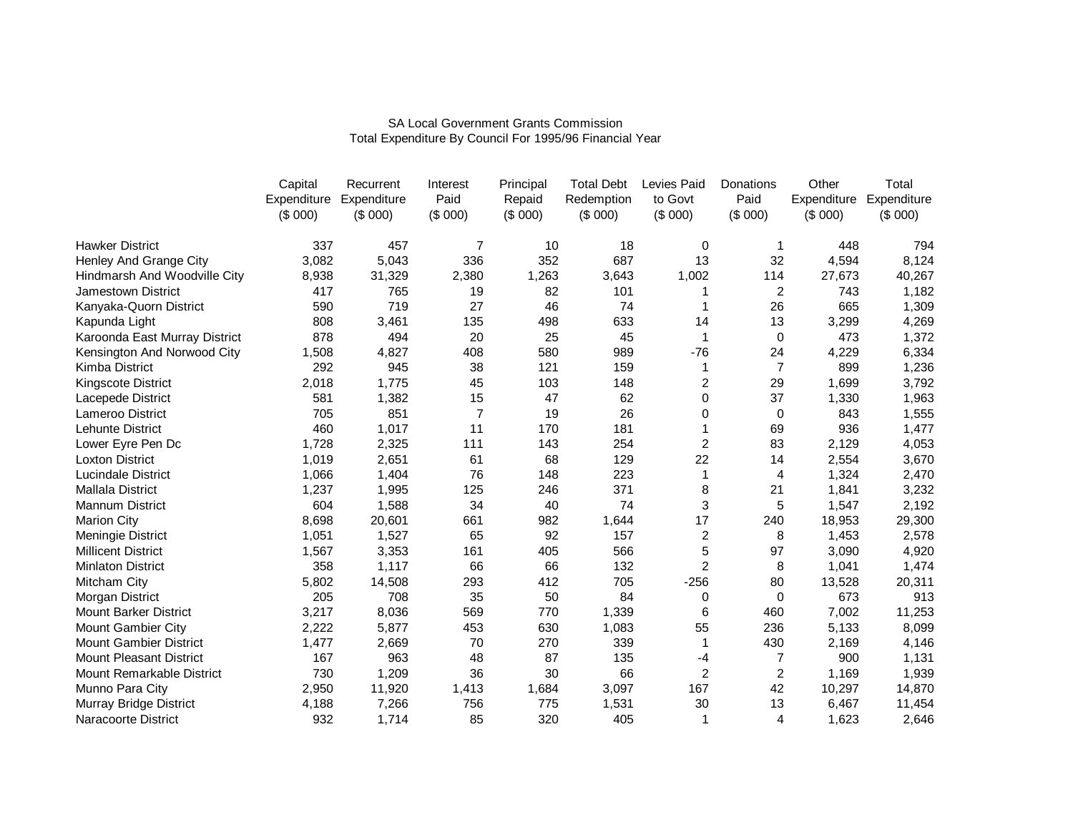|                                | Capital | Recurrent               | Interest       | Principal | <b>Total Debt</b> | Levies Paid             | Donations | Other       | Total       |
|--------------------------------|---------|-------------------------|----------------|-----------|-------------------|-------------------------|-----------|-------------|-------------|
|                                |         | Expenditure Expenditure | Paid           | Repaid    | Redemption        | to Govt                 | Paid      | Expenditure | Expenditure |
|                                | (\$000) | (\$000)                 | (\$000)        | (\$000)   | (\$000)           | (\$000)                 | (\$000)   | (\$000)     | (\$000)     |
| <b>Hawker District</b>         | 337     | 457                     | $\overline{7}$ | 10        | 18                | 0                       | 1         | 448         | 794         |
| Henley And Grange City         | 3,082   | 5,043                   | 336            | 352       | 687               | 13                      | 32        | 4,594       | 8,124       |
| Hindmarsh And Woodville City   | 8,938   | 31,329                  | 2,380          | 1,263     | 3,643             | 1,002                   | 114       | 27,673      | 40,267      |
| Jamestown District             | 417     | 765                     | 19             | 82        | 101               |                         | 2         | 743         | 1,182       |
| Kanyaka-Quorn District         | 590     | 719                     | 27             | 46        | 74                | 1                       | 26        | 665         | 1,309       |
| Kapunda Light                  | 808     | 3,461                   | 135            | 498       | 633               | 14                      | 13        | 3,299       | 4,269       |
| Karoonda East Murray District  | 878     | 494                     | 20             | 25        | 45                | 1                       | 0         | 473         | 1,372       |
| Kensington And Norwood City    | 1,508   | 4,827                   | 408            | 580       | 989               | $-76$                   | 24        | 4,229       | 6,334       |
| <b>Kimba District</b>          | 292     | 945                     | 38             | 121       | 159               | 1                       | 7         | 899         | 1,236       |
| Kingscote District             | 2,018   | 1,775                   | 45             | 103       | 148               | $\overline{\mathbf{c}}$ | 29        | 1,699       | 3,792       |
| Lacepede District              | 581     | 1,382                   | 15             | 47        | 62                | 0                       | 37        | 1,330       | 1,963       |
| Lameroo District               | 705     | 851                     | $\overline{7}$ | 19        | 26                | 0                       | 0         | 843         | 1,555       |
| Lehunte District               | 460     | 1,017                   | 11             | 170       | 181               | 1                       | 69        | 936         | 1,477       |
| Lower Eyre Pen Dc              | 1,728   | 2,325                   | 111            | 143       | 254               | 2                       | 83        | 2,129       | 4,053       |
| <b>Loxton District</b>         | 1,019   | 2,651                   | 61             | 68        | 129               | 22                      | 14        | 2,554       | 3,670       |
| <b>Lucindale District</b>      | 1,066   | 1,404                   | 76             | 148       | 223               | 1                       | 4         | 1,324       | 2,470       |
| <b>Mallala District</b>        | 1,237   | 1,995                   | 125            | 246       | 371               | 8                       | 21        | 1,841       | 3,232       |
| Mannum District                | 604     | 1,588                   | 34             | 40        | 74                | 3                       | 5         | 1,547       | 2,192       |
| <b>Marion City</b>             | 8,698   | 20,601                  | 661            | 982       | 1,644             | 17                      | 240       | 18,953      | 29,300      |
| Meningie District              | 1,051   | 1,527                   | 65             | 92        | 157               | $\overline{\mathbf{c}}$ | 8         | 1,453       | 2,578       |
| <b>Millicent District</b>      | 1,567   | 3,353                   | 161            | 405       | 566               | 5                       | 97        | 3,090       | 4,920       |
| <b>Minlaton District</b>       | 358     | 1,117                   | 66             | 66        | 132               | $\overline{2}$          | 8         | 1,041       | 1,474       |
| Mitcham City                   | 5,802   | 14,508                  | 293            | 412       | 705               | $-256$                  | 80        | 13,528      | 20,311      |
| Morgan District                | 205     | 708                     | 35             | 50        | 84                | 0                       | 0         | 673         | 913         |
| <b>Mount Barker District</b>   | 3,217   | 8,036                   | 569            | 770       | 1,339             | 6                       | 460       | 7,002       | 11,253      |
| Mount Gambier City             | 2,222   | 5,877                   | 453            | 630       | 1,083             | 55                      | 236       | 5,133       | 8,099       |
| <b>Mount Gambier District</b>  | 1,477   | 2,669                   | 70             | 270       | 339               | 1                       | 430       | 2,169       | 4,146       |
| <b>Mount Pleasant District</b> | 167     | 963                     | 48             | 87        | 135               | -4                      | 7         | 900         | 1,131       |
| Mount Remarkable District      | 730     | 1,209                   | 36             | 30        | 66                | $\overline{c}$          | 2         | 1,169       | 1,939       |
| Munno Para City                | 2,950   | 11,920                  | 1,413          | 1,684     | 3,097             | 167                     | 42        | 10,297      | 14,870      |
| Murray Bridge District         | 4,188   | 7,266                   | 756            | 775       | 1,531             | 30                      | 13        | 6,467       | 11,454      |
| Naracoorte District            | 932     | 1,714                   | 85             | 320       | 405               | 1                       | 4         | 1,623       | 2,646       |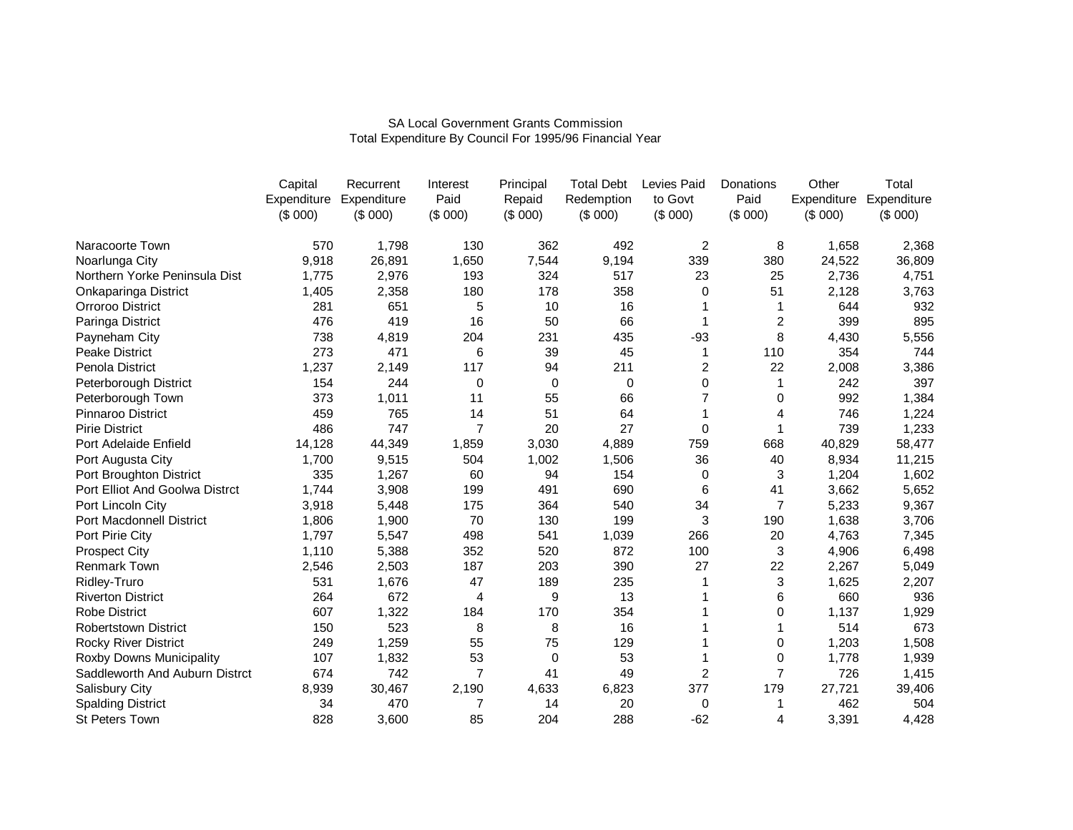|                                | Capital | Recurrent               | Interest | Principal   | <b>Total Debt</b> | Levies Paid    | Donations      | Other       | Total       |
|--------------------------------|---------|-------------------------|----------|-------------|-------------------|----------------|----------------|-------------|-------------|
|                                |         | Expenditure Expenditure | Paid     | Repaid      | Redemption        | to Govt        | Paid           | Expenditure | Expenditure |
|                                | (\$000) | (\$000)                 | (\$000)  | (\$000)     | (\$000)           | (\$000)        | (\$000)        | (\$000)     | (\$000)     |
| Naracoorte Town                | 570     | 1,798                   | 130      | 362         | 492               | $\overline{2}$ | 8              | 1,658       | 2,368       |
| Noarlunga City                 | 9,918   | 26,891                  | 1,650    | 7,544       | 9,194             | 339            | 380            | 24,522      | 36,809      |
| Northern Yorke Peninsula Dist  | 1,775   | 2,976                   | 193      | 324         | 517               | 23             | 25             | 2,736       | 4,751       |
| Onkaparinga District           | 1,405   | 2,358                   | 180      | 178         | 358               | 0              | 51             | 2,128       | 3,763       |
| Orroroo District               | 281     | 651                     | 5        | 10          | 16                |                |                | 644         | 932         |
| Paringa District               | 476     | 419                     | 16       | 50          | 66                | 1              | 2              | 399         | 895         |
| Payneham City                  | 738     | 4,819                   | 204      | 231         | 435               | $-93$          | 8              | 4,430       | 5,556       |
| <b>Peake District</b>          | 273     | 471                     | 6        | 39          | 45                |                | 110            | 354         | 744         |
| Penola District                | 1,237   | 2,149                   | 117      | 94          | 211               | 2              | 22             | 2,008       | 3,386       |
| Peterborough District          | 154     | 244                     | 0        | $\mathbf 0$ | 0                 | 0              |                | 242         | 397         |
| Peterborough Town              | 373     | 1,011                   | 11       | 55          | 66                |                | 0              | 992         | 1,384       |
| Pinnaroo District              | 459     | 765                     | 14       | 51          | 64                |                | 4              | 746         | 1,224       |
| <b>Pirie District</b>          | 486     | 747                     | 7        | 20          | 27                | 0              | 1              | 739         | 1,233       |
| Port Adelaide Enfield          | 14,128  | 44,349                  | 1,859    | 3,030       | 4,889             | 759            | 668            | 40,829      | 58,477      |
| Port Augusta City              | 1,700   | 9,515                   | 504      | 1,002       | 1,506             | 36             | 40             | 8,934       | 11,215      |
| Port Broughton District        | 335     | 1,267                   | 60       | 94          | 154               | 0              | 3              | 1,204       | 1,602       |
| Port Elliot And Goolwa Distrct | 1,744   | 3,908                   | 199      | 491         | 690               | 6              | 41             | 3,662       | 5,652       |
| Port Lincoln City              | 3,918   | 5,448                   | 175      | 364         | 540               | 34             | $\overline{7}$ | 5,233       | 9,367       |
| Port Macdonnell District       | 1,806   | 1,900                   | 70       | 130         | 199               | 3              | 190            | 1,638       | 3,706       |
| Port Pirie City                | 1,797   | 5,547                   | 498      | 541         | 1,039             | 266            | 20             | 4,763       | 7,345       |
| <b>Prospect City</b>           | 1,110   | 5,388                   | 352      | 520         | 872               | 100            | 3              | 4,906       | 6,498       |
| Renmark Town                   | 2,546   | 2,503                   | 187      | 203         | 390               | 27             | 22             | 2,267       | 5,049       |
| Ridley-Truro                   | 531     | 1,676                   | 47       | 189         | 235               |                | 3              | 1,625       | 2,207       |
| <b>Riverton District</b>       | 264     | 672                     | 4        | 9           | 13                |                | 6              | 660         | 936         |
| <b>Robe District</b>           | 607     | 1,322                   | 184      | 170         | 354               |                | 0              | 1,137       | 1,929       |
| Robertstown District           | 150     | 523                     | 8        | 8           | 16                |                |                | 514         | 673         |
| <b>Rocky River District</b>    | 249     | 1,259                   | 55       | 75          | 129               |                | 0              | 1,203       | 1,508       |
| Roxby Downs Municipality       | 107     | 1,832                   | 53       | $\Omega$    | 53                |                | $\Omega$       | 1,778       | 1,939       |
| Saddleworth And Auburn Distrct | 674     | 742                     | 7        | 41          | 49                | 2              | 7              | 726         | 1,415       |
| Salisbury City                 | 8,939   | 30,467                  | 2,190    | 4,633       | 6,823             | 377            | 179            | 27,721      | 39,406      |
| <b>Spalding District</b>       | 34      | 470                     | 7        | 14          | 20                | 0              | 1              | 462         | 504         |
| <b>St Peters Town</b>          | 828     | 3,600                   | 85       | 204         | 288               | $-62$          | 4              | 3,391       | 4,428       |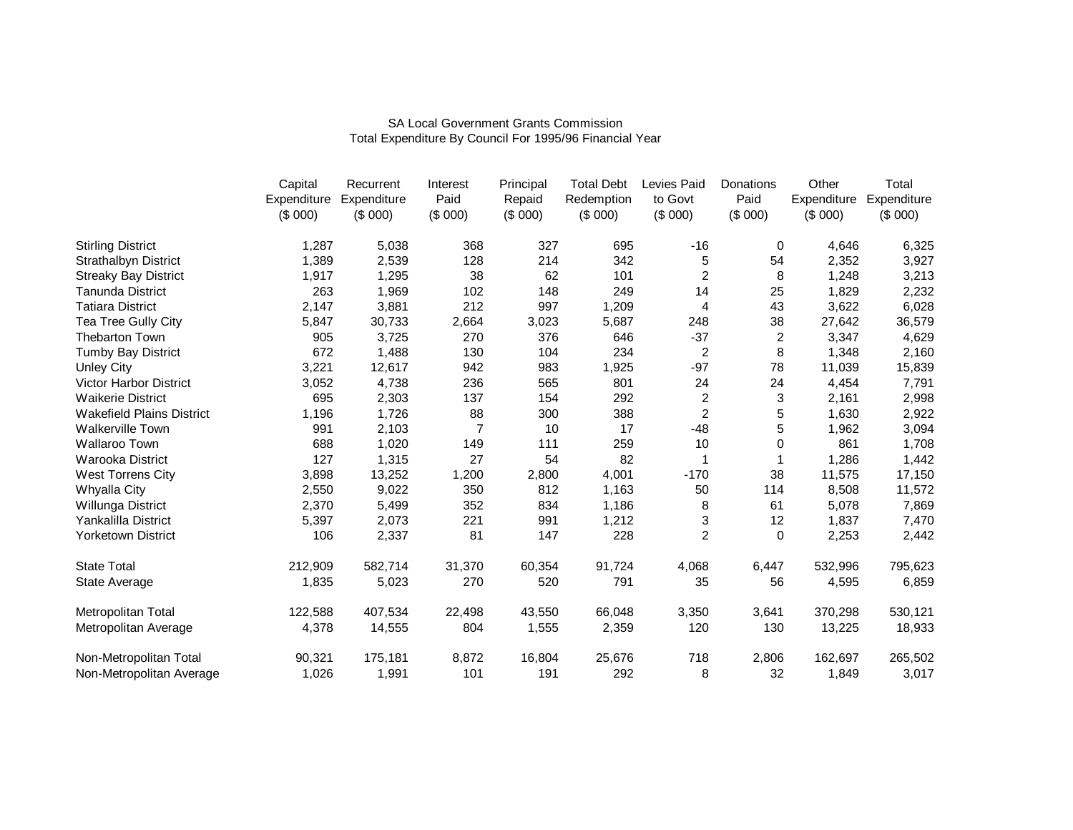|                                  | Capital     | Recurrent   | Interest       | Principal | <b>Total Debt</b> | Levies Paid    | Donations      | Other       | Total       |
|----------------------------------|-------------|-------------|----------------|-----------|-------------------|----------------|----------------|-------------|-------------|
|                                  | Expenditure | Expenditure | Paid           | Repaid    | Redemption        | to Govt        | Paid           | Expenditure | Expenditure |
|                                  | (\$000)     | (\$000)     | (\$000)        | (\$000)   | (\$000)           | (\$000)        | (\$000)        | (\$000)     | (\$000)     |
| <b>Stirling District</b>         | 1,287       | 5,038       | 368            | 327       | 695               | $-16$          | 0              | 4,646       | 6,325       |
| <b>Strathalbyn District</b>      | 1,389       | 2,539       | 128            | 214       | 342               | 5              | 54             | 2,352       | 3,927       |
| <b>Streaky Bay District</b>      | 1,917       | 1,295       | 38             | 62        | 101               | $\overline{c}$ | 8              | 1,248       | 3,213       |
| <b>Tanunda District</b>          | 263         | 1,969       | 102            | 148       | 249               | 14             | 25             | 1,829       | 2,232       |
| <b>Tatiara District</b>          | 2,147       | 3,881       | 212            | 997       | 1,209             | 4              | 43             | 3,622       | 6,028       |
| Tea Tree Gully City              | 5,847       | 30,733      | 2,664          | 3,023     | 5,687             | 248            | 38             | 27,642      | 36,579      |
| <b>Thebarton Town</b>            | 905         | 3,725       | 270            | 376       | 646               | $-37$          | $\overline{c}$ | 3,347       | 4,629       |
| Tumby Bay District               | 672         | 1,488       | 130            | 104       | 234               | $\overline{c}$ | 8              | 1,348       | 2,160       |
| <b>Unley City</b>                | 3,221       | 12,617      | 942            | 983       | 1,925             | $-97$          | 78             | 11,039      | 15,839      |
| <b>Victor Harbor District</b>    | 3,052       | 4,738       | 236            | 565       | 801               | 24             | 24             | 4,454       | 7,791       |
| <b>Waikerie District</b>         | 695         | 2,303       | 137            | 154       | 292               | $\overline{c}$ | 3              | 2,161       | 2,998       |
| <b>Wakefield Plains District</b> | 1,196       | 1,726       | 88             | 300       | 388               | 2              | 5              | 1,630       | 2,922       |
| <b>Walkerville Town</b>          | 991         | 2,103       | $\overline{7}$ | 10        | 17                | $-48$          | 5              | 1,962       | 3,094       |
| Wallaroo Town                    | 688         | 1,020       | 149            | 111       | 259               | 10             | 0              | 861         | 1,708       |
| Warooka District                 | 127         | 1,315       | 27             | 54        | 82                | 1              | 1              | 1,286       | 1,442       |
| <b>West Torrens City</b>         | 3,898       | 13,252      | 1,200          | 2,800     | 4,001             | $-170$         | 38             | 11,575      | 17,150      |
| Whyalla City                     | 2,550       | 9,022       | 350            | 812       | 1,163             | 50             | 114            | 8,508       | 11,572      |
| Willunga District                | 2,370       | 5,499       | 352            | 834       | 1,186             | 8              | 61             | 5,078       | 7,869       |
| Yankalilla District              | 5,397       | 2,073       | 221            | 991       | 1,212             | 3              | 12             | 1,837       | 7,470       |
| Yorketown District               | 106         | 2,337       | 81             | 147       | 228               | $\overline{c}$ | $\Omega$       | 2,253       | 2,442       |
| <b>State Total</b>               | 212,909     | 582,714     | 31,370         | 60,354    | 91,724            | 4,068          | 6,447          | 532,996     | 795,623     |
| State Average                    | 1,835       | 5,023       | 270            | 520       | 791               | 35             | 56             | 4,595       | 6,859       |
| Metropolitan Total               | 122,588     | 407,534     | 22,498         | 43,550    | 66,048            | 3,350          | 3,641          | 370,298     | 530,121     |
| Metropolitan Average             | 4,378       | 14,555      | 804            | 1,555     | 2,359             | 120            | 130            | 13,225      | 18,933      |
| Non-Metropolitan Total           | 90,321      | 175,181     | 8,872          | 16,804    | 25,676            | 718            | 2,806          | 162,697     | 265,502     |
| Non-Metropolitan Average         | 1,026       | 1,991       | 101            | 191       | 292               | 8              | 32             | 1,849       | 3,017       |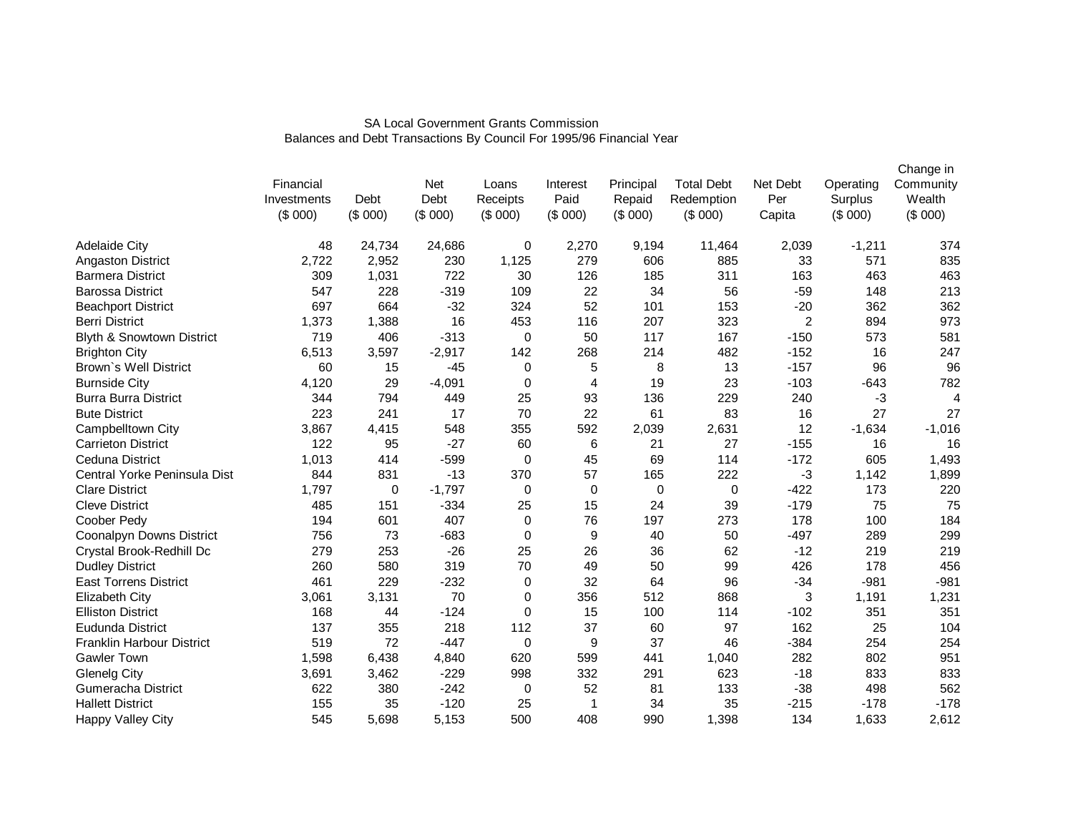|                                  | Financial<br>Investments<br>(\$000) | Debt<br>(\$000) | Net<br>Debt<br>(\$000) | Loans<br>Receipts<br>(\$000) | Interest<br>Paid<br>(\$000) | Principal<br>Repaid<br>(\$000) | <b>Total Debt</b><br>Redemption<br>(\$000) | Net Debt<br>Per<br>Capita | Operating<br>Surplus<br>(\$000) | Change in<br>Community<br>Wealth<br>(\$000) |
|----------------------------------|-------------------------------------|-----------------|------------------------|------------------------------|-----------------------------|--------------------------------|--------------------------------------------|---------------------------|---------------------------------|---------------------------------------------|
| <b>Adelaide City</b>             | 48                                  | 24,734          | 24,686                 | 0                            | 2,270                       | 9,194                          | 11,464                                     | 2,039                     | $-1,211$                        | 374                                         |
| Angaston District                | 2,722                               | 2,952           | 230                    | 1,125                        | 279                         | 606                            | 885                                        | 33                        | 571                             | 835                                         |
| <b>Barmera District</b>          | 309                                 | 1,031           | 722                    | 30                           | 126                         | 185                            | 311                                        | 163                       | 463                             | 463                                         |
| <b>Barossa District</b>          | 547                                 | 228             | $-319$                 | 109                          | 22                          | 34                             | 56                                         | $-59$                     | 148                             | 213                                         |
| <b>Beachport District</b>        | 697                                 | 664             | $-32$                  | 324                          | 52                          | 101                            | 153                                        | $-20$                     | 362                             | 362                                         |
| <b>Berri District</b>            | 1,373                               | 1,388           | 16                     | 453                          | 116                         | 207                            | 323                                        | $\overline{2}$            | 894                             | 973                                         |
| Blyth & Snowtown District        | 719                                 | 406             | $-313$                 | $\mathbf 0$                  | 50                          | 117                            | 167                                        | $-150$                    | 573                             | 581                                         |
| <b>Brighton City</b>             | 6,513                               | 3,597           | $-2,917$               | 142                          | 268                         | 214                            | 482                                        | $-152$                    | 16                              | 247                                         |
| Brown's Well District            | 60                                  | 15              | $-45$                  | $\mathbf 0$                  | 5                           | 8                              | 13                                         | $-157$                    | 96                              | 96                                          |
| <b>Burnside City</b>             | 4,120                               | 29              | $-4,091$               | $\mathbf 0$                  | $\overline{4}$              | 19                             | 23                                         | $-103$                    | $-643$                          | 782                                         |
| <b>Burra Burra District</b>      | 344                                 | 794             | 449                    | 25                           | 93                          | 136                            | 229                                        | 240                       | $-3$                            | $\overline{4}$                              |
| <b>Bute District</b>             | 223                                 | 241             | 17                     | 70                           | 22                          | 61                             | 83                                         | 16                        | 27                              | 27                                          |
| Campbelltown City                | 3,867                               | 4,415           | 548                    | 355                          | 592                         | 2,039                          | 2,631                                      | 12                        | $-1,634$                        | $-1,016$                                    |
| <b>Carrieton District</b>        | 122                                 | 95              | $-27$                  | 60                           | 6                           | 21                             | 27                                         | $-155$                    | 16                              | 16                                          |
| Ceduna District                  | 1,013                               | 414             | $-599$                 | 0                            | 45                          | 69                             | 114                                        | $-172$                    | 605                             | 1,493                                       |
| Central Yorke Peninsula Dist     | 844                                 | 831             | $-13$                  | 370                          | 57                          | 165                            | 222                                        | $-3$                      | 1,142                           | 1,899                                       |
| <b>Clare District</b>            | 1,797                               | 0               | $-1,797$               | 0                            | 0                           | 0                              | 0                                          | $-422$                    | 173                             | 220                                         |
| <b>Cleve District</b>            | 485                                 | 151             | $-334$                 | 25                           | 15                          | 24                             | 39                                         | $-179$                    | 75                              | 75                                          |
| Coober Pedy                      | 194                                 | 601             | 407                    | 0                            | 76                          | 197                            | 273                                        | 178                       | 100                             | 184                                         |
| <b>Coonalpyn Downs District</b>  | 756                                 | 73              | $-683$                 | 0                            | 9                           | 40                             | 50                                         | $-497$                    | 289                             | 299                                         |
| Crystal Brook-Redhill Dc         | 279                                 | 253             | $-26$                  | 25                           | 26                          | 36                             | 62                                         | $-12$                     | 219                             | 219                                         |
| <b>Dudley District</b>           | 260                                 | 580             | 319                    | 70                           | 49                          | 50                             | 99                                         | 426                       | 178                             | 456                                         |
| <b>East Torrens District</b>     | 461                                 | 229             | $-232$                 | 0                            | 32                          | 64                             | 96                                         | $-34$                     | $-981$                          | $-981$                                      |
| <b>Elizabeth City</b>            | 3,061                               | 3,131           | 70                     | 0                            | 356                         | 512                            | 868                                        | 3                         | 1,191                           | 1,231                                       |
| <b>Elliston District</b>         | 168                                 | 44              | $-124$                 | 0                            | 15                          | 100                            | 114                                        | $-102$                    | 351                             | 351                                         |
| Eudunda District                 | 137                                 | 355             | 218                    | 112                          | 37                          | 60                             | 97                                         | 162                       | 25                              | 104                                         |
| <b>Franklin Harbour District</b> | 519                                 | 72              | $-447$                 | 0                            | 9                           | 37                             | 46                                         | $-384$                    | 254                             | 254                                         |
| <b>Gawler Town</b>               | 1,598                               | 6,438           | 4,840                  | 620                          | 599                         | 441                            | 1,040                                      | 282                       | 802                             | 951                                         |
| <b>Glenelg City</b>              | 3,691                               | 3,462           | $-229$                 | 998                          | 332                         | 291                            | 623                                        | $-18$                     | 833                             | 833                                         |
| <b>Gumeracha District</b>        | 622                                 | 380             | $-242$                 | 0                            | 52                          | 81                             | 133                                        | $-38$                     | 498                             | 562                                         |
| <b>Hallett District</b>          | 155                                 | 35              | $-120$                 | 25                           | $\mathbf{1}$                | 34                             | 35                                         | $-215$                    | $-178$                          | $-178$                                      |
| Happy Valley City                | 545                                 | 5,698           | 5,153                  | 500                          | 408                         | 990                            | 1,398                                      | 134                       | 1,633                           | 2,612                                       |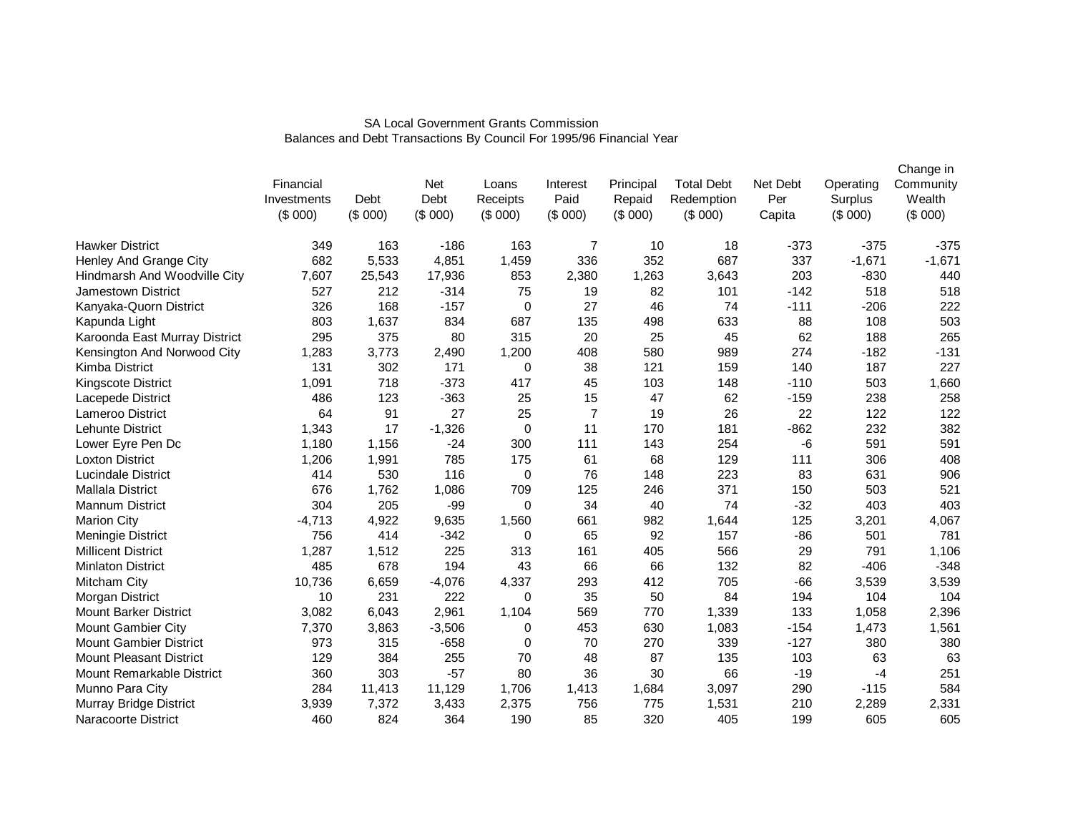|                                |             |         |          |             |                |           |                   |          |           | Change in |
|--------------------------------|-------------|---------|----------|-------------|----------------|-----------|-------------------|----------|-----------|-----------|
|                                | Financial   |         | Net      | Loans       | Interest       | Principal | <b>Total Debt</b> | Net Debt | Operating | Community |
|                                | Investments | Debt    | Debt     | Receipts    | Paid           | Repaid    | Redemption        | Per      | Surplus   | Wealth    |
|                                | (\$000)     | (\$000) | (\$000)  | (\$000)     | (\$000)        | (\$000)   | (\$000)           | Capita   | (\$000)   | (\$000)   |
| <b>Hawker District</b>         | 349         | 163     | $-186$   | 163         | 7              | 10        | 18                | $-373$   | $-375$    | $-375$    |
| Henley And Grange City         | 682         | 5,533   | 4,851    | 1,459       | 336            | 352       | 687               | 337      | $-1,671$  | $-1,671$  |
| Hindmarsh And Woodville City   | 7,607       | 25,543  | 17,936   | 853         | 2,380          | 1,263     | 3,643             | 203      | $-830$    | 440       |
| <b>Jamestown District</b>      | 527         | 212     | $-314$   | 75          | 19             | 82        | 101               | $-142$   | 518       | 518       |
| Kanyaka-Quorn District         | 326         | 168     | $-157$   | 0           | 27             | 46        | 74                | $-111$   | $-206$    | 222       |
| Kapunda Light                  | 803         | 1,637   | 834      | 687         | 135            | 498       | 633               | 88       | 108       | 503       |
| Karoonda East Murray District  | 295         | 375     | 80       | 315         | 20             | 25        | 45                | 62       | 188       | 265       |
| Kensington And Norwood City    | 1,283       | 3,773   | 2,490    | 1,200       | 408            | 580       | 989               | 274      | $-182$    | $-131$    |
| Kimba District                 | 131         | 302     | 171      | 0           | 38             | 121       | 159               | 140      | 187       | 227       |
| <b>Kingscote District</b>      | 1,091       | 718     | $-373$   | 417         | 45             | 103       | 148               | $-110$   | 503       | 1,660     |
| Lacepede District              | 486         | 123     | $-363$   | 25          | 15             | 47        | 62                | $-159$   | 238       | 258       |
| Lameroo District               | 64          | 91      | 27       | 25          | $\overline{7}$ | 19        | 26                | 22       | 122       | 122       |
| Lehunte District               | 1,343       | 17      | $-1,326$ | $\mathbf 0$ | 11             | 170       | 181               | $-862$   | 232       | 382       |
| Lower Eyre Pen Dc              | 1,180       | 1,156   | $-24$    | 300         | 111            | 143       | 254               | -6       | 591       | 591       |
| <b>Loxton District</b>         | 1,206       | 1,991   | 785      | 175         | 61             | 68        | 129               | 111      | 306       | 408       |
| <b>Lucindale District</b>      | 414         | 530     | 116      | $\mathbf 0$ | 76             | 148       | 223               | 83       | 631       | 906       |
| <b>Mallala District</b>        | 676         | 1,762   | 1,086    | 709         | 125            | 246       | 371               | 150      | 503       | 521       |
| <b>Mannum District</b>         | 304         | 205     | -99      | 0           | 34             | 40        | 74                | $-32$    | 403       | 403       |
| <b>Marion City</b>             | $-4,713$    | 4,922   | 9,635    | 1,560       | 661            | 982       | 1,644             | 125      | 3,201     | 4,067     |
| Meningie District              | 756         | 414     | $-342$   | 0           | 65             | 92        | 157               | $-86$    | 501       | 781       |
| <b>Millicent District</b>      | 1,287       | 1,512   | 225      | 313         | 161            | 405       | 566               | 29       | 791       | 1,106     |
| <b>Minlaton District</b>       | 485         | 678     | 194      | 43          | 66             | 66        | 132               | 82       | $-406$    | $-348$    |
| Mitcham City                   | 10,736      | 6,659   | $-4,076$ | 4,337       | 293            | 412       | 705               | $-66$    | 3,539     | 3,539     |
| Morgan District                | 10          | 231     | 222      | 0           | 35             | 50        | 84                | 194      | 104       | 104       |
| <b>Mount Barker District</b>   | 3,082       | 6,043   | 2,961    | 1,104       | 569            | 770       | 1,339             | 133      | 1,058     | 2,396     |
| Mount Gambier City             | 7,370       | 3,863   | $-3,506$ | 0           | 453            | 630       | 1,083             | $-154$   | 1,473     | 1,561     |
| <b>Mount Gambier District</b>  | 973         | 315     | $-658$   | 0           | 70             | 270       | 339               | $-127$   | 380       | 380       |
| <b>Mount Pleasant District</b> | 129         | 384     | 255      | 70          | 48             | 87        | 135               | 103      | 63        | 63        |
| Mount Remarkable District      | 360         | 303     | $-57$    | 80          | 36             | 30        | 66                | $-19$    | $-4$      | 251       |
| Munno Para City                | 284         | 11,413  | 11,129   | 1,706       | 1,413          | 1,684     | 3,097             | 290      | $-115$    | 584       |
| Murray Bridge District         | 3,939       | 7,372   | 3,433    | 2,375       | 756            | 775       | 1,531             | 210      | 2,289     | 2,331     |
| Naracoorte District            | 460         | 824     | 364      | 190         | 85             | 320       | 405               | 199      | 605       | 605       |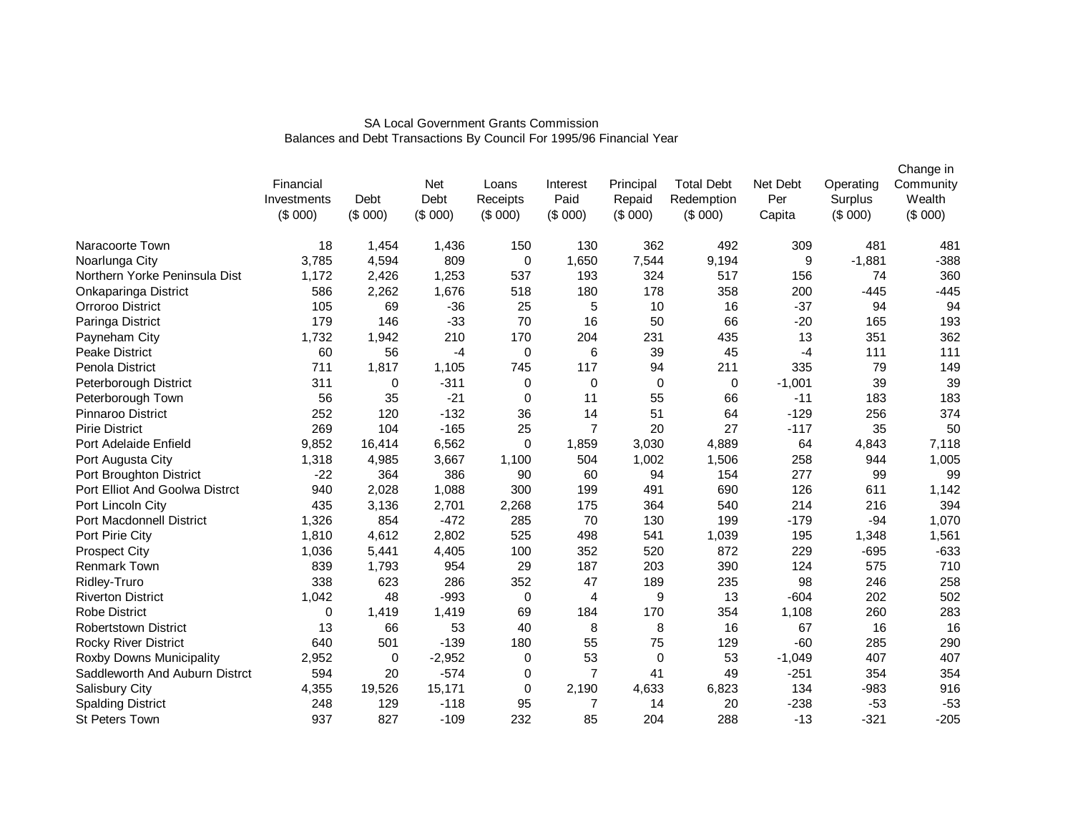|                                 | Financial<br>Investments<br>(\$000) | Debt<br>(\$000) | Net<br>Debt<br>(\$000) | Loans<br>Receipts<br>(\$000) | Interest<br>Paid<br>(\$000) | Principal<br>Repaid<br>(\$000) | <b>Total Debt</b><br>Redemption<br>(\$000) | Net Debt<br>Per<br>Capita | Operating<br>Surplus<br>(\$000) | Change in<br>Community<br>Wealth<br>(\$000) |
|---------------------------------|-------------------------------------|-----------------|------------------------|------------------------------|-----------------------------|--------------------------------|--------------------------------------------|---------------------------|---------------------------------|---------------------------------------------|
| Naracoorte Town                 | 18                                  | 1,454           | 1,436                  | 150                          | 130                         | 362                            | 492                                        | 309                       | 481                             | 481                                         |
| Noarlunga City                  | 3,785                               | 4,594           | 809                    | 0                            | 1,650                       | 7,544                          | 9,194                                      | 9                         | $-1,881$                        | $-388$                                      |
| Northern Yorke Peninsula Dist   | 1,172                               | 2,426           | 1,253                  | 537                          | 193                         | 324                            | 517                                        | 156                       | 74                              | 360                                         |
| Onkaparinga District            | 586                                 | 2,262           | 1,676                  | 518                          | 180                         | 178                            | 358                                        | 200                       | $-445$                          | $-445$                                      |
| Orroroo District                | 105                                 | 69              | $-36$                  | 25                           | 5                           | 10                             | 16                                         | $-37$                     | 94                              | 94                                          |
| Paringa District                | 179                                 | 146             | $-33$                  | 70                           | 16                          | 50                             | 66                                         | $-20$                     | 165                             | 193                                         |
| Payneham City                   | 1,732                               | 1,942           | 210                    | 170                          | 204                         | 231                            | 435                                        | 13                        | 351                             | 362                                         |
| <b>Peake District</b>           | 60                                  | 56              | $-4$                   | 0                            | 6                           | 39                             | 45                                         | $-4$                      | 111                             | 111                                         |
| Penola District                 | 711                                 | 1,817           | 1,105                  | 745                          | 117                         | 94                             | 211                                        | 335                       | 79                              | 149                                         |
| Peterborough District           | 311                                 | 0               | $-311$                 | 0                            | $\Omega$                    | $\mathbf 0$                    | 0                                          | $-1,001$                  | 39                              | 39                                          |
| Peterborough Town               | 56                                  | 35              | $-21$                  | $\Omega$                     | 11                          | 55                             | 66                                         | $-11$                     | 183                             | 183                                         |
| <b>Pinnaroo District</b>        | 252                                 | 120             | $-132$                 | 36                           | 14                          | 51                             | 64                                         | $-129$                    | 256                             | 374                                         |
| <b>Pirie District</b>           | 269                                 | 104             | $-165$                 | 25                           | $\overline{7}$              | 20                             | 27                                         | $-117$                    | 35                              | 50                                          |
| Port Adelaide Enfield           | 9,852                               | 16,414          | 6,562                  | 0                            | 1,859                       | 3,030                          | 4,889                                      | 64                        | 4,843                           | 7,118                                       |
| Port Augusta City               | 1,318                               | 4,985           | 3,667                  | 1,100                        | 504                         | 1,002                          | 1,506                                      | 258                       | 944                             | 1,005                                       |
| Port Broughton District         | $-22$                               | 364             | 386                    | 90                           | 60                          | 94                             | 154                                        | 277                       | 99                              | 99                                          |
| Port Elliot And Goolwa Distrct  | 940                                 | 2,028           | 1,088                  | 300                          | 199                         | 491                            | 690                                        | 126                       | 611                             | 1,142                                       |
| Port Lincoln City               | 435                                 | 3,136           | 2,701                  | 2,268                        | 175                         | 364                            | 540                                        | 214                       | 216                             | 394                                         |
| <b>Port Macdonnell District</b> | 1,326                               | 854             | $-472$                 | 285                          | 70                          | 130                            | 199                                        | $-179$                    | $-94$                           | 1,070                                       |
| Port Pirie City                 | 1,810                               | 4,612           | 2,802                  | 525                          | 498                         | 541                            | 1,039                                      | 195                       | 1,348                           | 1,561                                       |
| <b>Prospect City</b>            | 1,036                               | 5,441           | 4,405                  | 100                          | 352                         | 520                            | 872                                        | 229                       | $-695$                          | $-633$                                      |
| <b>Renmark Town</b>             | 839                                 | 1,793           | 954                    | 29                           | 187                         | 203                            | 390                                        | 124                       | 575                             | 710                                         |
| Ridley-Truro                    | 338                                 | 623             | 286                    | 352                          | 47                          | 189                            | 235                                        | 98                        | 246                             | 258                                         |
| <b>Riverton District</b>        | 1,042                               | 48              | $-993$                 | 0                            | 4                           | 9                              | 13                                         | $-604$                    | 202                             | 502                                         |
| <b>Robe District</b>            | 0                                   | 1,419           | 1,419                  | 69                           | 184                         | 170                            | 354                                        | 1,108                     | 260                             | 283                                         |
| <b>Robertstown District</b>     | 13                                  | 66              | 53                     | 40                           | 8                           | 8                              | 16                                         | 67                        | 16                              | 16                                          |
| <b>Rocky River District</b>     | 640                                 | 501             | $-139$                 | 180                          | 55                          | 75                             | 129                                        | $-60$                     | 285                             | 290                                         |
| Roxby Downs Municipality        | 2,952                               | 0               | $-2,952$               | 0                            | 53                          | 0                              | 53                                         | $-1,049$                  | 407                             | 407                                         |
| Saddleworth And Auburn Distrct  | 594                                 | 20              | $-574$                 | 0                            | $\overline{7}$              | 41                             | 49                                         | $-251$                    | 354                             | 354                                         |
| <b>Salisbury City</b>           | 4,355                               | 19,526          | 15,171                 | 0                            | 2,190                       | 4,633                          | 6,823                                      | 134                       | $-983$                          | 916                                         |
| <b>Spalding District</b>        | 248                                 | 129             | $-118$                 | 95                           | 7                           | 14                             | 20                                         | $-238$                    | $-53$                           | $-53$                                       |
| <b>St Peters Town</b>           | 937                                 | 827             | $-109$                 | 232                          | 85                          | 204                            | 288                                        | $-13$                     | $-321$                          | $-205$                                      |